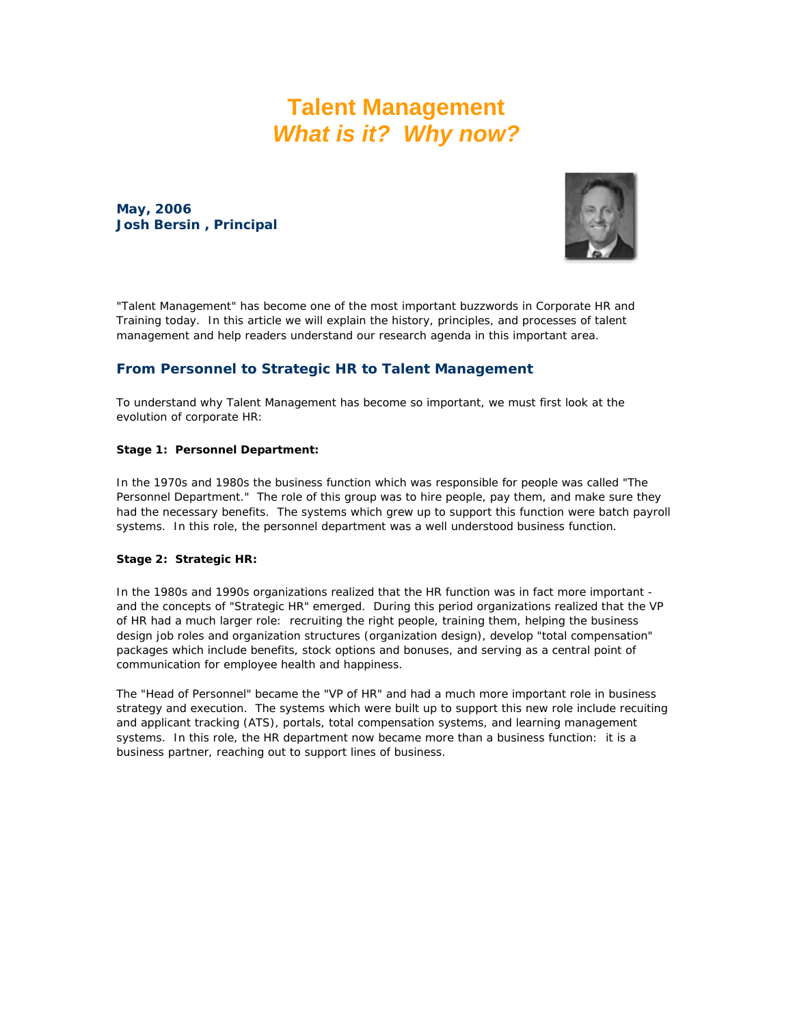### **Talent Management**  *What is it? Why now?*

**May, 2006 Josh Bersin , Principal**



"Talent Management" has become one of the most important buzzwords in Corporate HR and Training today. In this article we will explain the history, principles, and processes of talent management and help readers understand our research agenda in this important area.

#### **From Personnel to Strategic HR to Talent Management**

To understand why Talent Management has become so important, we must first look at the evolution of corporate HR:

#### **Stage 1: Personnel Department:**

In the 1970s and 1980s the business function which was responsible for people was called "The Personnel Department." The role of this group was to hire people, pay them, and make sure they had the necessary benefits. The systems which grew up to support this function were batch payroll systems. In this role, the personnel department was a well understood *business function*.

#### **Stage 2: Strategic HR:**

In the 1980s and 1990s organizations realized that the HR function was in fact more important and the concepts of "Strategic HR" emerged. During this period organizations realized that the VP of HR had a much larger role: recruiting the right people, training them, helping the business design job roles and organization structures (organization design), develop "total compensation" packages which include benefits, stock options and bonuses, and serving as a central point of communication for employee health and happiness.

The "Head of Personnel" became the "VP of HR" and had a much more important role in business strategy and execution. The systems which were built up to support this new role include recuiting and applicant tracking (ATS), portals, total compensation systems, and learning management systems. In this role, the HR department now became more than a business function: it is a *business partner*, reaching out to support lines of business.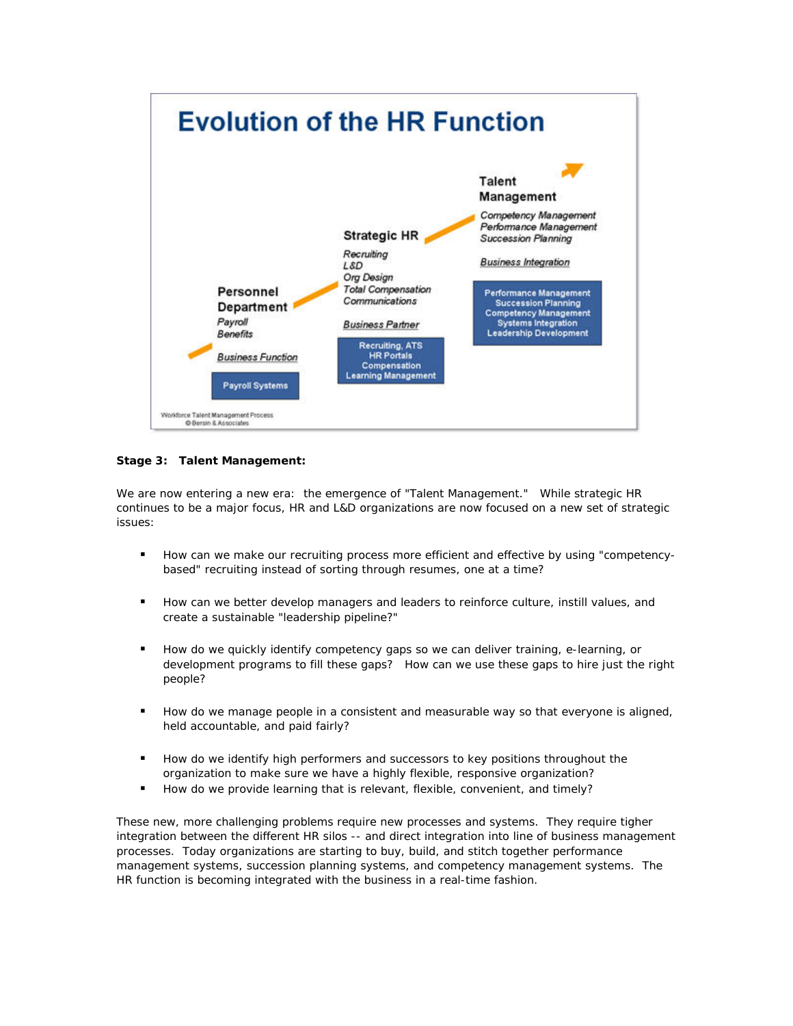

**Stage 3: Talent Management:**

We are now entering a new era: the emergence of "Talent Management." While strategic HR continues to be a major focus, HR and L&D organizations are now focused on a new set of strategic issues:

- **How can we make our recruiting process more efficient and effective by using "competency**based" recruiting instead of sorting through resumes, one at a time?
- How can we better develop managers and leaders to reinforce culture, instill values, and create a sustainable "leadership pipeline?"
- How do we quickly identify competency gaps so we can deliver training, e-learning, or development programs to fill these gaps? How can we use these gaps to hire just the right people?
- **How do we manage people in a consistent and measurable way so that everyone is aligned,** held accountable, and paid fairly?
- How do we identify high performers and successors to key positions throughout the organization to make sure we have a highly flexible, responsive organization?
- How do we provide learning that is relevant, flexible, convenient, and timely?

These new, more challenging problems require new processes and systems. They require tigher integration between the different HR silos -- and direct integration into line of business management processes. Today organizations are starting to buy, build, and stitch together performance management systems, succession planning systems, and competency management systems. The HR function is becoming *integrated with the business* in a real-time fashion.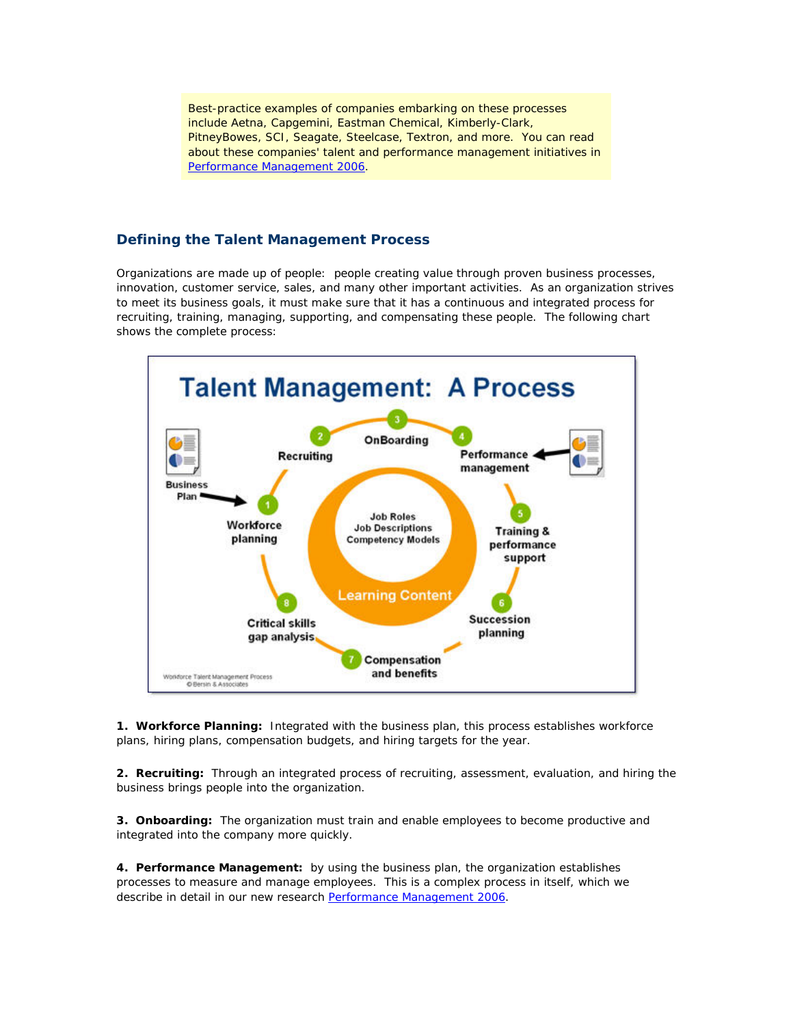Best-practice examples of companies embarking on these processes include Aetna, Capgemini, Eastman Chemical, Kimberly-Clark, PitneyBowes, SCI, Seagate, Steelcase, Textron, and more. You can read about these companies' talent and performance management initiatives in [Performance Management 2006.](http://www.bersin.com/perfmgt)

#### **Defining the Talent Management Process**

Organizations are made up of people: people creating value through proven business processes, innovation, customer service, sales, and many other important activities. As an organization strives to meet its business goals, it must make sure that it has a continuous and integrated process for recruiting, training, managing, supporting, and compensating these people. The following chart shows the complete process:



**1. Workforce Planning:** Integrated with the *business plan*, this process establishes workforce plans, hiring plans, compensation budgets, and hiring targets for the year.

**2. Recruiting:** Through an integrated process of recruiting, assessment, evaluation, and hiring the business brings people into the organization.

**3. Onboarding:** The organization must train and enable employees to become productive and integrated into the company more quickly.

**4. Performance Management:** by using the *business plan*, the organization establishes processes to measure and manage employees. This is a complex process in itself, which we describe in detail in our new research [Performance Management 2006](http://www.bersin.com/perfmgt).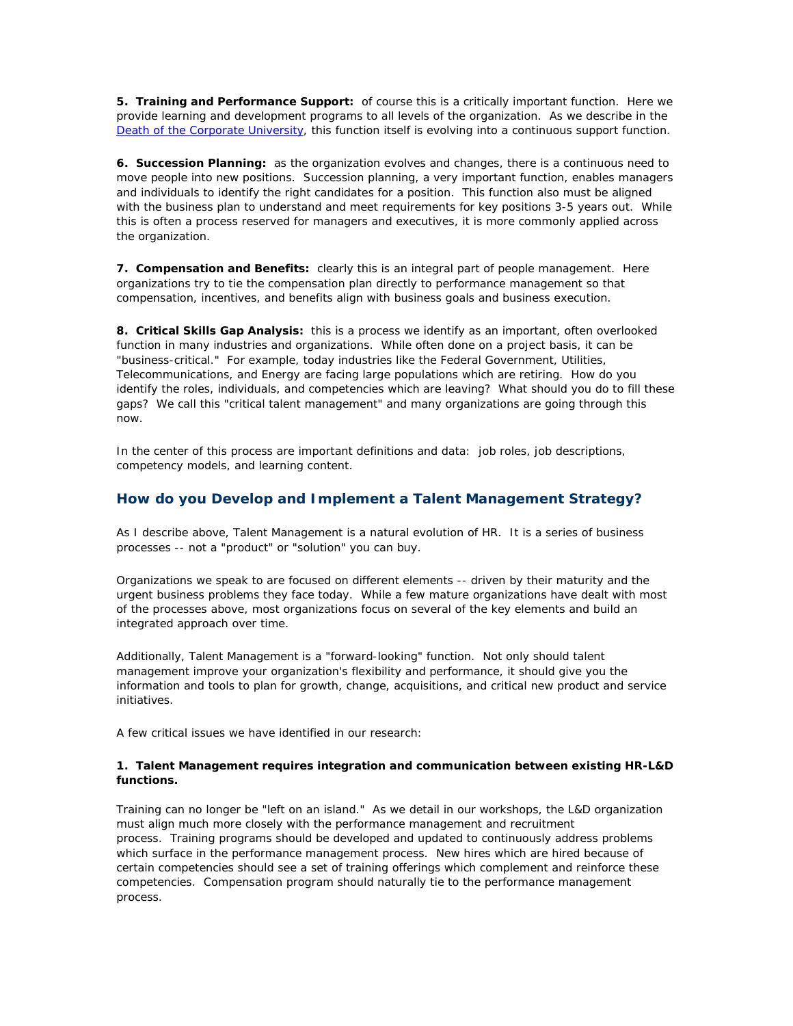**5. Training and Performance Support:** of course this is a critically important function. Here we provide learning and development programs to all levels of the organization. As we describe in the [Death of the Corporate University,](http://www.bersin.com/tips_techniques/05_nov_death_cu.asp) this function itself is evolving into a continuous support function.

**6. Succession Planning:** as the organization evolves and changes, there is a continuous need to move people into new positions. Succession planning, a very important function, enables managers and individuals to identify the right candidates for a position. This function also must be aligned with the *business plan* to understand and meet requirements for key positions 3-5 years out. While this is often a process reserved for managers and executives, it is more commonly applied across the organization.

**7. Compensation and Benefits:** clearly this is an integral part of people management. Here organizations try to tie the compensation plan directly to performance management so that compensation, incentives, and benefits align with business goals and business execution.

**8. Critical Skills Gap Analysis:** this is a process we identify as an important, often overlooked function in many industries and organizations. While often done on a project basis, it can be "business-critical." For example, today industries like the Federal Government, Utilities, Telecommunications, and Energy are facing large populations which are retiring. How do you identify the roles, individuals, and competencies which are leaving? What should you do to fill these gaps? We call this "critical talent management" and many organizations are going through this now.

In the center of this process are important definitions and data: job roles, job descriptions, competency models, and learning content.

#### **How do you Develop and Implement a Talent Management Strategy?**

As I describe above, Talent Management is a natural evolution of HR. It is a series of business processes -- not a "product" or "solution" you can buy.

Organizations we speak to are focused on different elements -- driven by their maturity and the urgent business problems they face today. While a few mature organizations have dealt with most of the processes above, most organizations focus on several of the key elements and build an integrated approach over time.

Additionally, Talent Management is a "forward-looking" function. Not only should talent management improve your organization's flexibility and performance, it should give you the information and tools to plan for growth, change, acquisitions, and critical new product and service initiatives.

A few critical issues we have identified in our research:

#### **1. Talent Management requires integration and communication between existing HR-L&D functions.**

Training can no longer be "left on an island." As we detail in our workshops, the L&D organization must align much more closely with the performance management and recruitment process. Training programs should be developed and updated to continuously address problems which surface in the performance management process. New hires which are hired because of certain competencies should see a set of training offerings which complement and reinforce these competencies. Compensation program should naturally tie to the performance management process.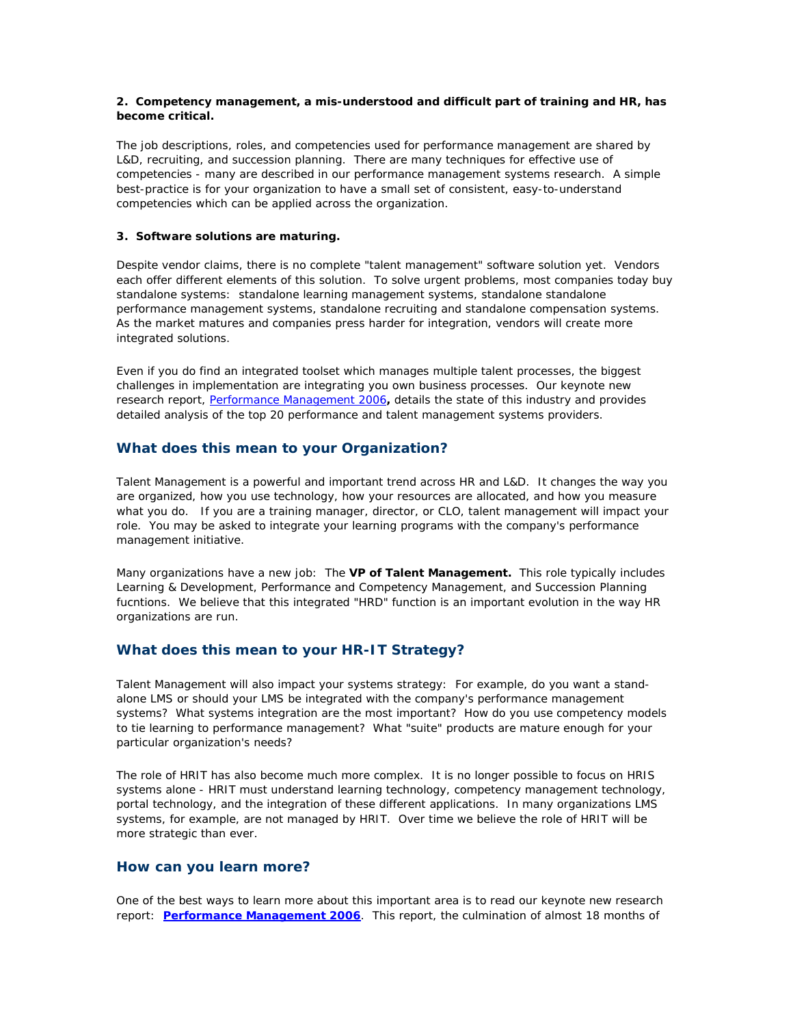#### **2. Competency management, a mis-understood and difficult part of training and HR, has become critical.**

The job descriptions, roles, and competencies used for performance management are shared by L&D, recruiting, and succession planning. There are many techniques for effective use of competencies - many are described in our performance management systems research. A simple best-practice is for your organization to have a small set of consistent, easy-to-understand competencies which can be applied across the organization.

#### **3. Software solutions are maturing.**

Despite vendor claims, there is no complete "talent management" software solution yet. Vendors each offer different elements of this solution. To solve urgent problems, most companies today buy standalone systems: standalone learning management systems, standalone standalone performance management systems, standalone recruiting and standalone compensation systems. As the market matures and companies press harder for integration, vendors will create more integrated solutions.

Even if you do find an integrated toolset which manages multiple talent processes, the biggest challenges in implementation are integrating you own business processes. Our keynote new research report, [Performance Management 2006](http://www.bersin.com/pm)**,** details the state of this industry and provides detailed analysis of the top 20 performance and talent management systems providers.

#### **What does this mean to your Organization?**

Talent Management is a powerful and important trend across HR and L&D. It changes the way you are organized, how you use technology, how your resources are allocated, and how you measure what you do. If you are a training manager, director, or CLO, talent management will impact your role. You may be asked to integrate your learning programs with the company's performance management initiative.

Many organizations have a new job: The *VP of Talent Management.* This role typically includes Learning & Development, Performance and Competency Management, and Succession Planning fucntions. We believe that this integrated "HRD" function is an important evolution in the way HR organizations are run.

#### **What does this mean to your HR-IT Strategy?**

Talent Management will also impact your systems strategy: For example, do you want a standalone LMS or should your LMS be integrated with the company's performance management systems? What systems integration are the most important? How do you use competency models to tie learning to performance management? What "suite" products are mature enough for your particular organization's needs?

The role of HRIT has also become much more complex. It is no longer possible to focus on HRIS systems alone - HRIT must understand learning technology, competency management technology, portal technology, and the integration of these different applications. In many organizations LMS systems, for example, are not managed by HRIT. Over time we believe the role of HRIT will be more strategic than ever.

#### **How can you learn more?**

One of the best ways to learn more about this important area is to read our keynote new research report: **[Performance Management 2006](http://www.bersin.com/perfmgt)**. This report, the culmination of almost 18 months of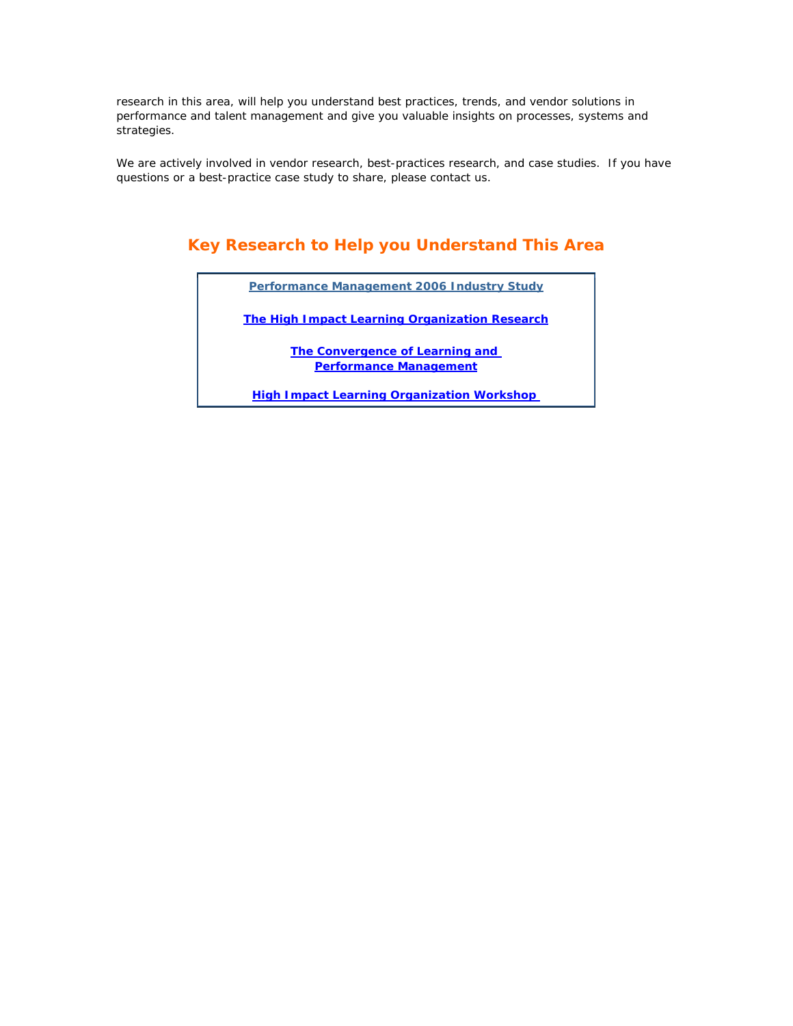research in this area, will help you understand best practices, trends, and vendor solutions in performance and talent management and give you valuable insights on processes, systems and strategies.

We are actively involved in vendor research, best-practices research, and case studies. If you have questions or a best-practice case study to share, please contact us.

### **Key Research to Help you Understand This Area**

*[Performance Management 2006 Industry Study](http://www.bersin.com/perfmgt)*

*[The High Impact Learning Organization Research](http://store.bersinassociates.com/governance.html)*

*[The Convergence of Learning and](http://www.bersin.com/contactus/convergence.asp)  [Performance Management](http://www.bersin.com/contactus/convergence.asp)*

*[High Impact Learning Organization Workshop](http://www.bersin.com/workshop)*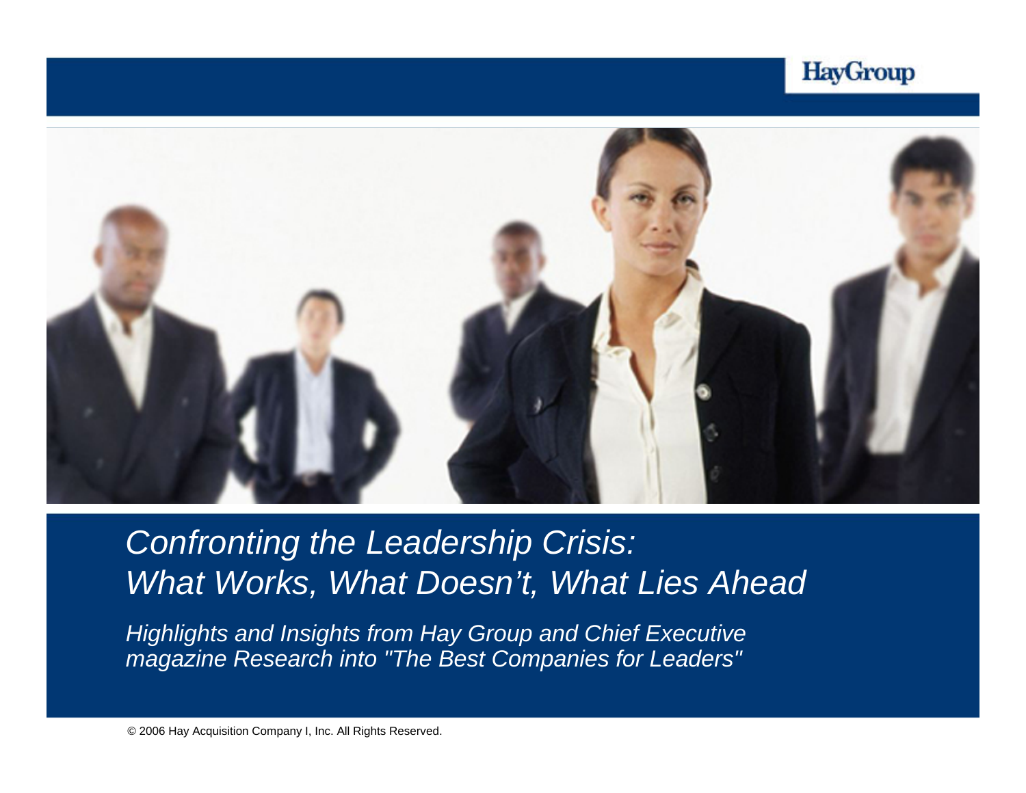



*Confronting the Leadership Crisis : What Works, What Doesn't, What Lies Ahead*

*Highlights and Insights from Hay Group and Chief Executive magazine Research into "The Best Companies for Leaders"*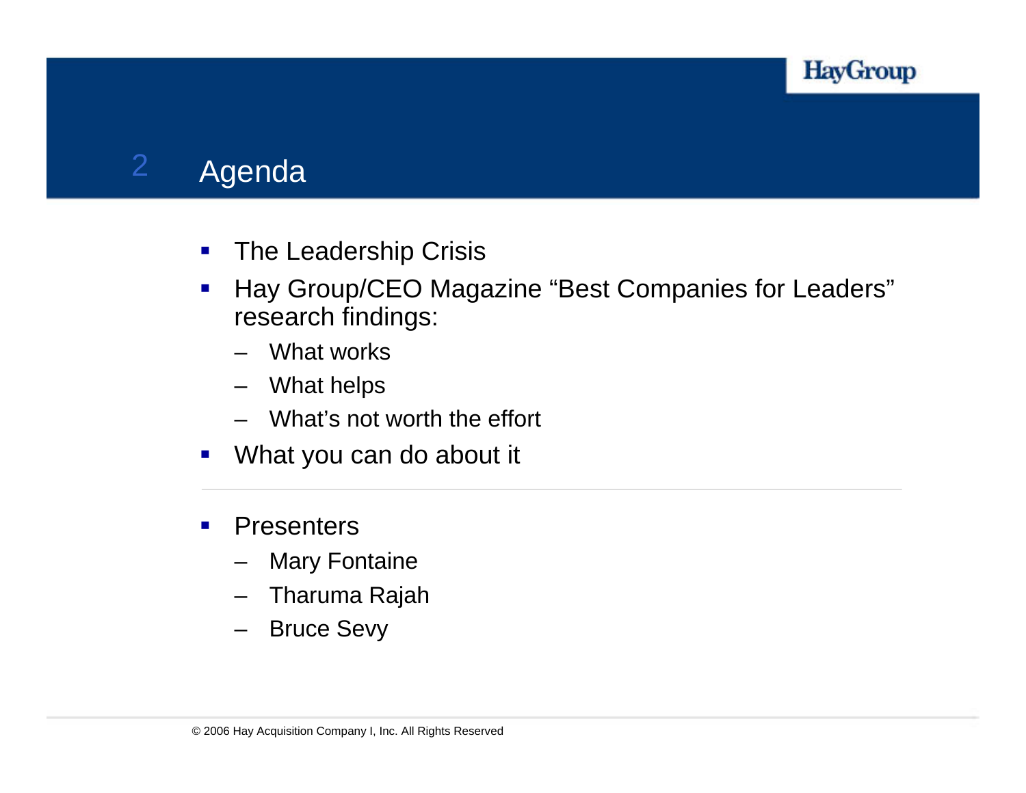

### 2Agenda

- $\mathcal{L}_{\mathcal{A}}$ The Leadership Crisis
- $\mathcal{L}_{\mathcal{A}}$  Hay Group/CEO Magazine "Best Companies for Leaders" research findings:
	- What works
	- What helps
	- –What's not worth the effort
- $\mathcal{L}_{\mathcal{A}}$ What you can do about it
- $\blacksquare$ **Presenters** 
	- Mary Fontaine
	- Tharuma Rajah
	- –Bruce Sevy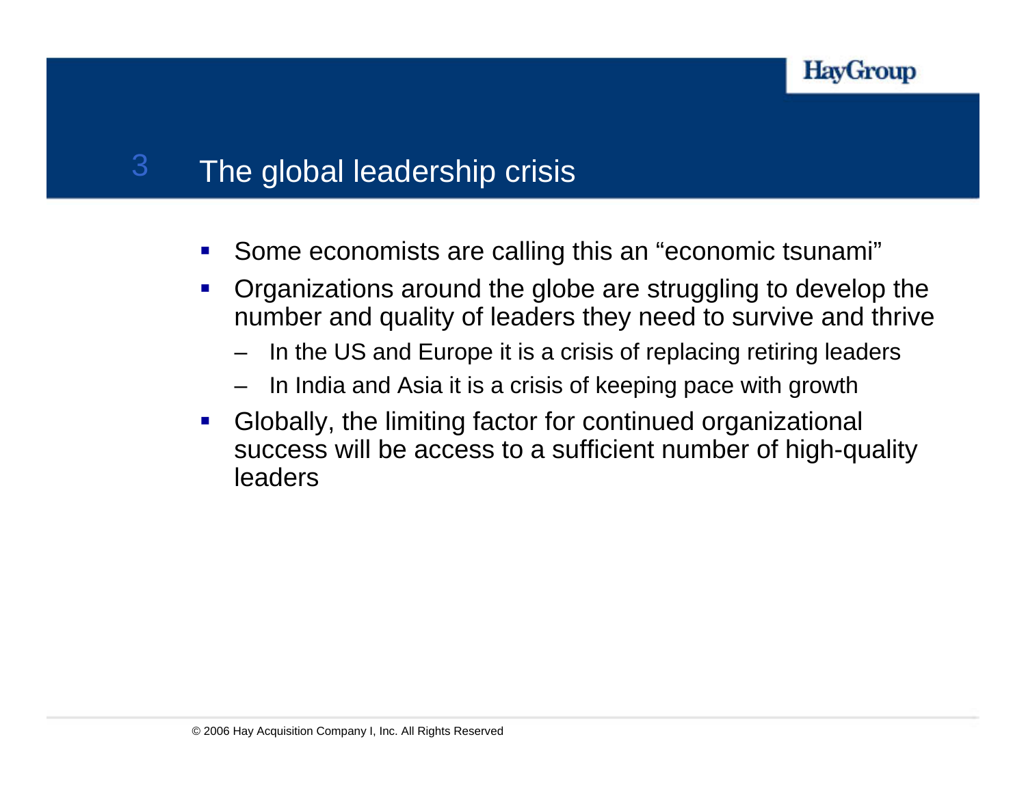

### 3The global leadership crisis

- $\mathcal{L}_{\mathcal{A}}$ Some economists are calling this an "economic tsunami"
- $\mathcal{L}_{\mathcal{A}}$  Organizations around the globe are struggling to develop the number and quality of leaders they need to survive and thrive
	- In the US and Europe it is a crisis of replacing retiring leaders
	- In India and Asia it is a crisis of keeping pace with growth
- $\mathcal{L}_{\mathcal{A}}$  Globally, the limiting factor for continued organizational success will be access to a sufficient number of high-quality leaders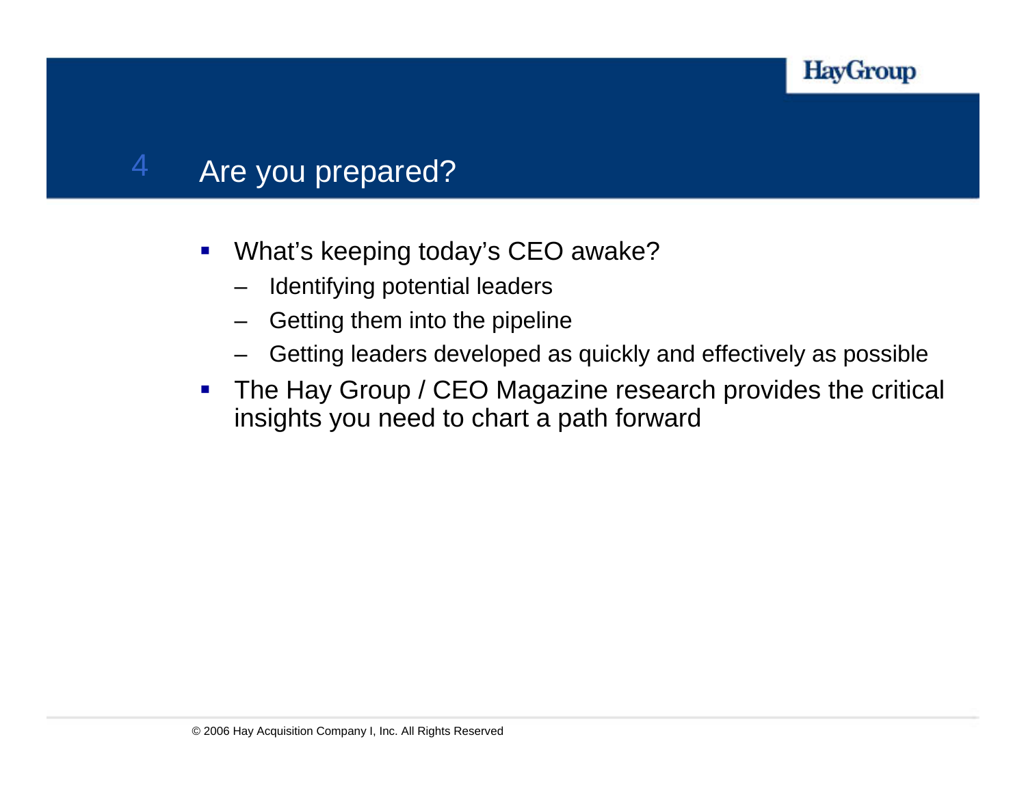

### Are you prepared?

4

- $\blacksquare$  What's keeping today's CEO awake?
	- Identifying potential leaders
	- Getting them into the pipeline
	- Getting leaders developed as quickly and effectively as possible
- $\mathcal{L}_{\mathcal{A}}$  The Hay Group / CEO Magazine research provides the critical insights you need to chart a path forward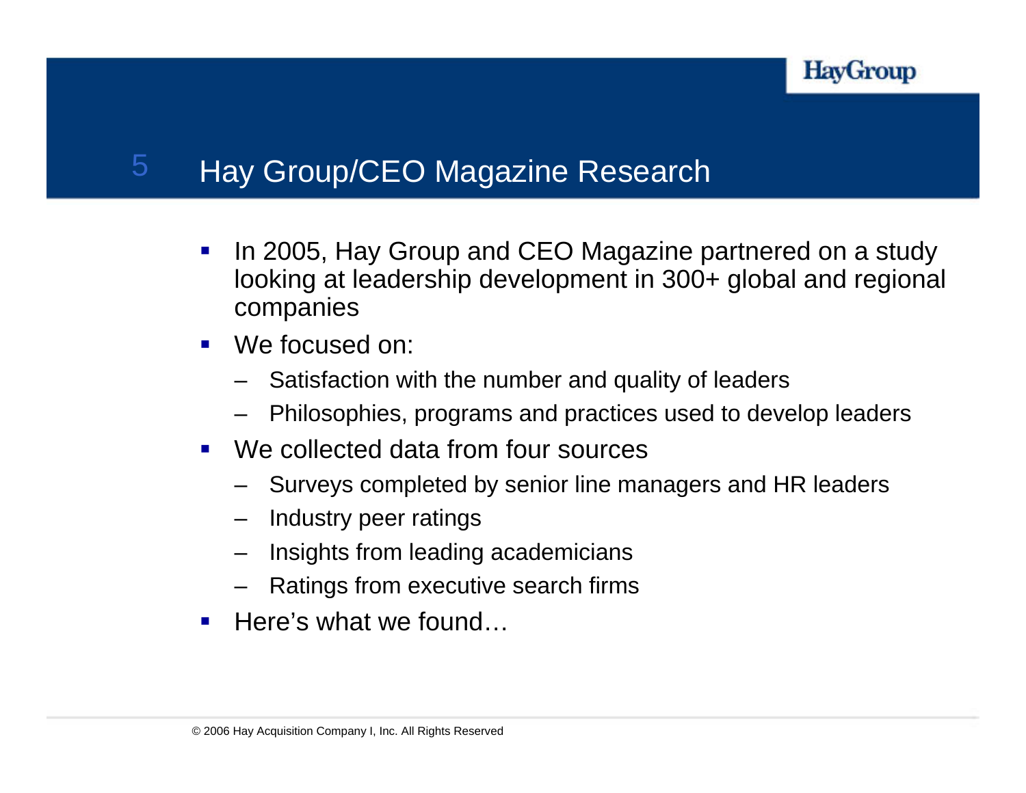

### 5Hay Group/CEO Magazine Research

- $\mathcal{L}_{\mathcal{A}}$  In 2005, Hay Group and CEO Magazine partnered on a study looking at leadership development in 300+ global and regional companies
- $\mathcal{L}_{\mathcal{A}}$  We focused on:
	- Satisfaction with the number and quality of leaders
	- Philosophies, programs and practices used to develop leaders
- $\blacksquare$  We collected data from four sources
	- Surveys completed by senior line managers and HR leaders
	- Industry peer ratings
	- Insights from leading academicians
	- Ratings from executive search firms
- $\mathcal{L}_{\text{max}}$ Here's what we found…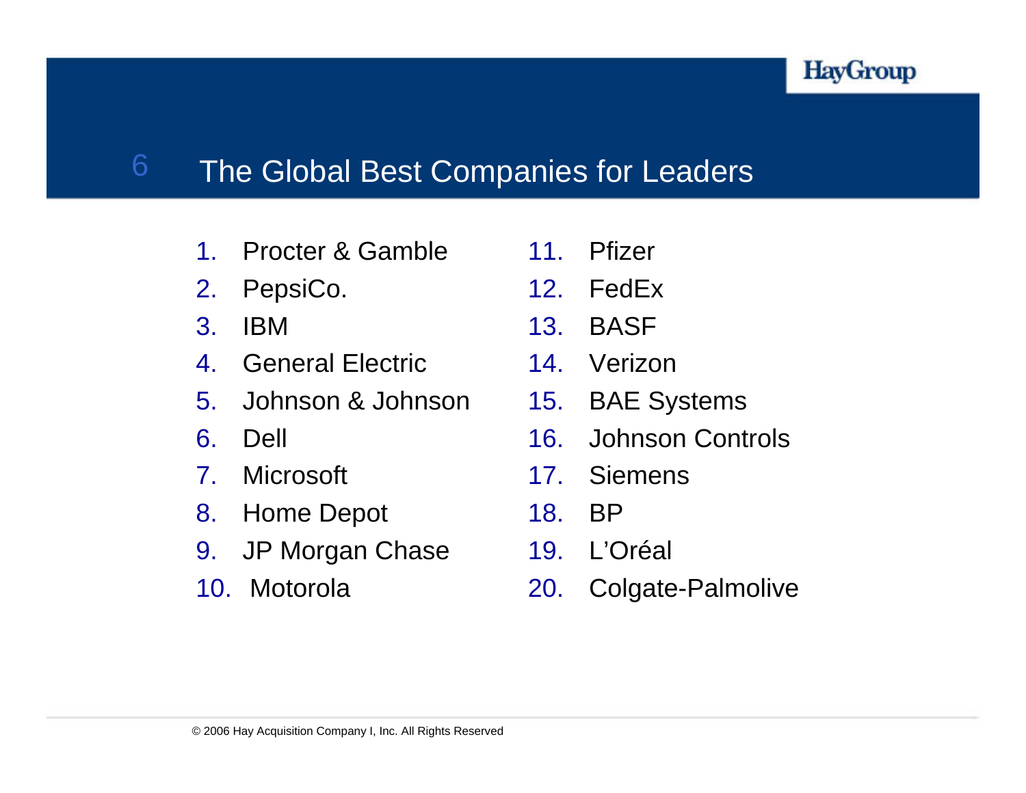

### 6The Global Best Companies for Leaders

- 1.Procter & Gamble
- 2.PepsiCo.
- 3. IBM
- 4.General Electric
- 5. Johnson & Johnson
- 6. Dell
- 7.Microsoft
- 8. Home Depot
- 9. JP Morgan Chase
- 10. Motorola
- 11. Pfizer
- 12. FedEx
- 13. BASF
- 14. Verizon
- 15. BAE Systems
- 16. Johnson Controls
- 17. Siemens
- 18. BP
- 19. L'Oréal
- 20. Colgate-Palmolive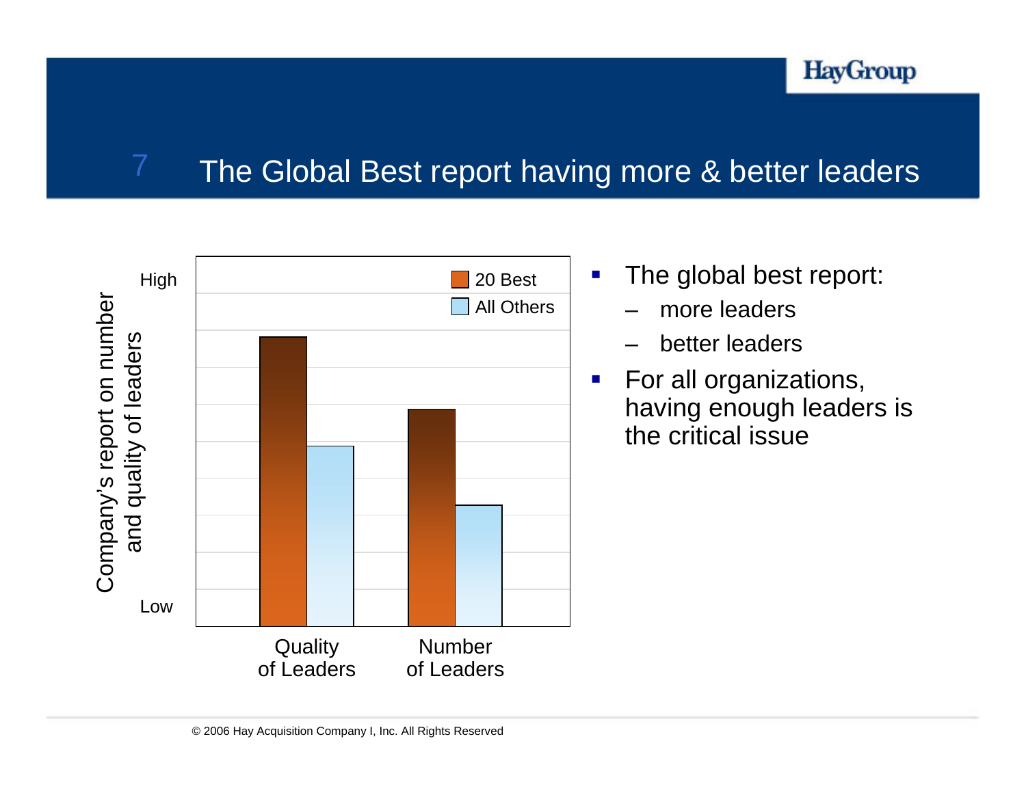

### The Global Best report having more & better leaders



7

- The global best report:
	- –more leaders
	- better leaders
- For all organizations, having enough leaders is the critical issue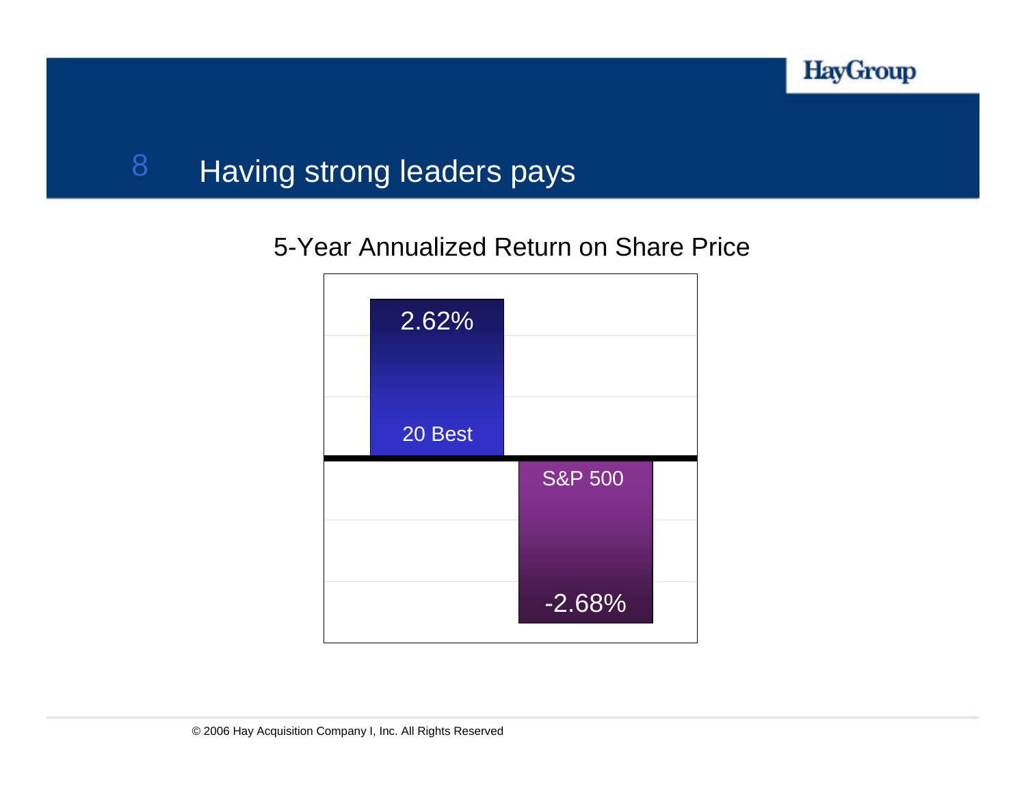

### 8Having strong leaders pays

### 5-Year Annualized Return on Share Price

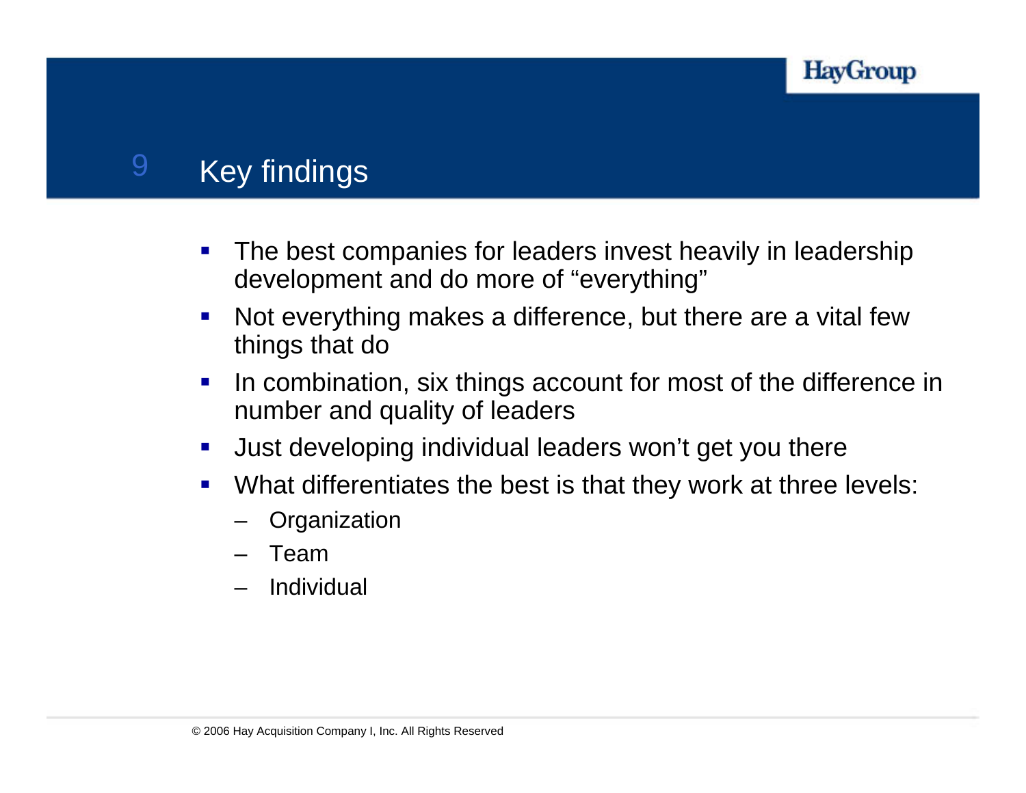

### 9Key findings

- $\mathcal{L}_{\mathcal{A}}$  The best companies for leaders invest heavily in leadership development and do more of "everything"
- $\mathcal{L}_{\mathcal{A}}$  Not everything makes a difference, but there are a vital few things that do
- $\mathcal{L}_{\mathcal{A}}$  In combination, six things account for most of the difference in number and quality of leaders
- $\overline{\mathcal{L}}$ Just developing individual leaders won't get you there
- $\mathcal{L}_{\text{eff}}$  What differentiates the best is that they work at three levels:
	- **Organization**
	- Team
	- Individual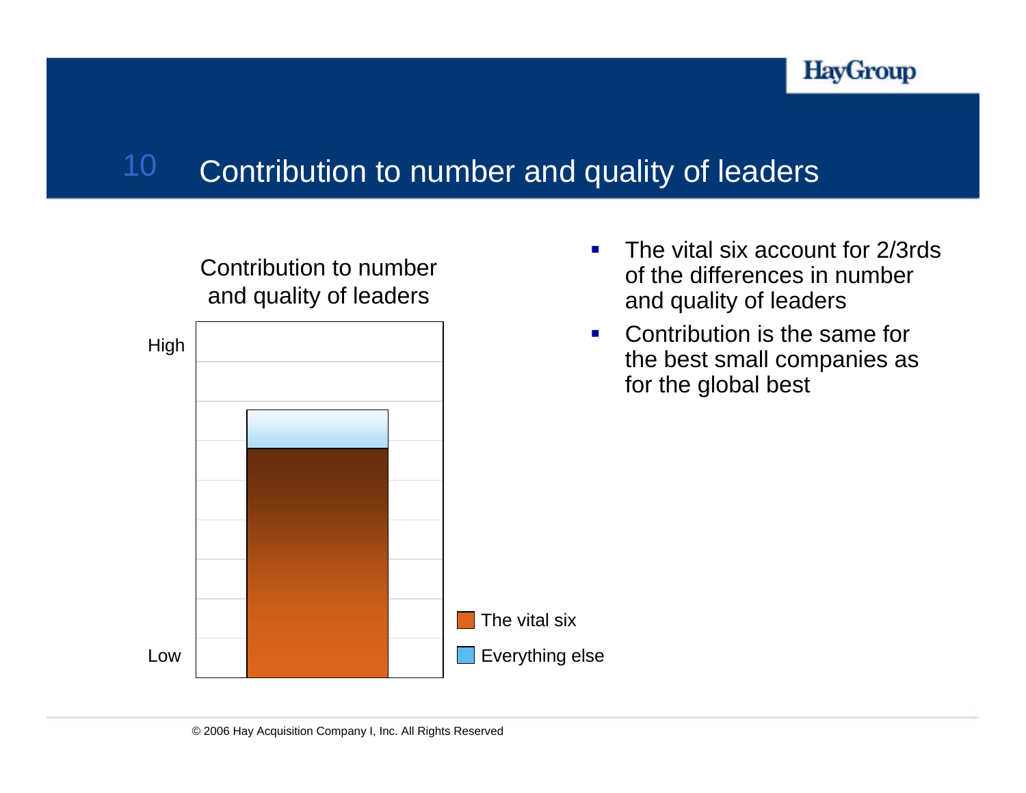

### 10Contribution to number and quality of leaders



Contribution to number

- $\mathcal{L}_{\mathcal{A}}$  The vital six account for 2/3rds of the differences in number and quality of leaders
- $\mathcal{L}_{\mathcal{A}}$  Contribution is the same for the best small companies as for the global best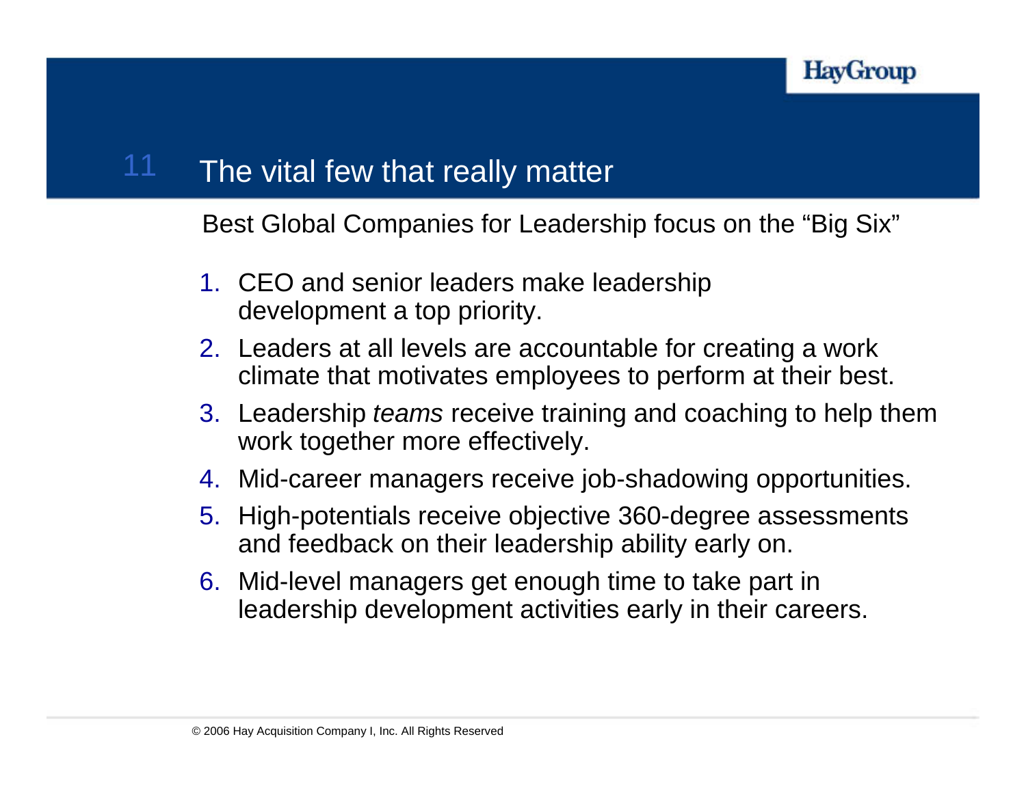### The vital few that really matter

Best Global Companies for Leadership focus on the "Big Six"

- 1. CEO and senior leaders make leadership development a top priority.
- 2. Leaders at all levels are accountable for creating a work climate that motivates employees to perform at their best.
- 3. Leadership *teams* receive training and coaching to help them work together more effectively.
- 4. Mid-career managers receive job-shadowing opportunities.
- 5. High-potentials receive objective 360-degree assessments and feedback on their leadership ability early on.
- 6. Mid-level managers get enough time to take part in leadership development activities early in their careers.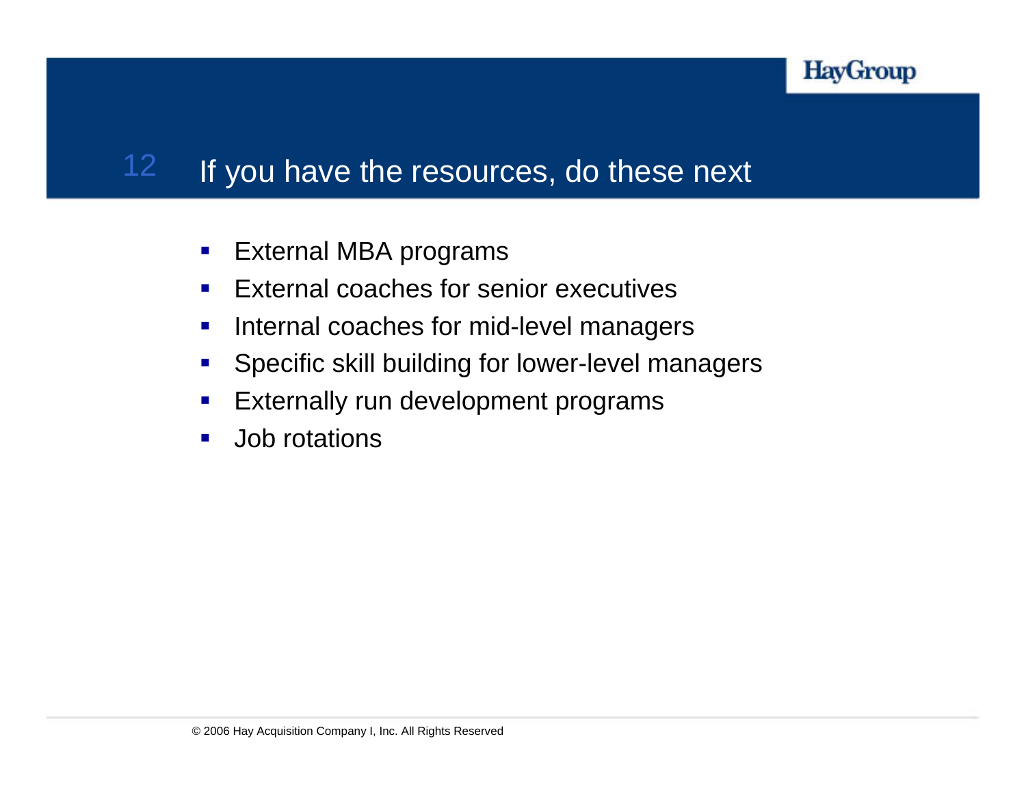

### 12If you have the resources, do these next

- $\mathcal{L}_{\mathcal{A}}$ External MBA programs
- $\mathcal{L}_{\mathcal{A}}$ External coaches for senior executives
- $\mathcal{L}_{\mathcal{A}}$ Internal coaches for mid-level managers
- $\mathcal{L}_{\mathcal{A}}$ Specific skill building for lower-level managers
- $\overline{\phantom{a}}$ Externally run development programs
- $\mathcal{L}_{\mathcal{A}}$ Job rotations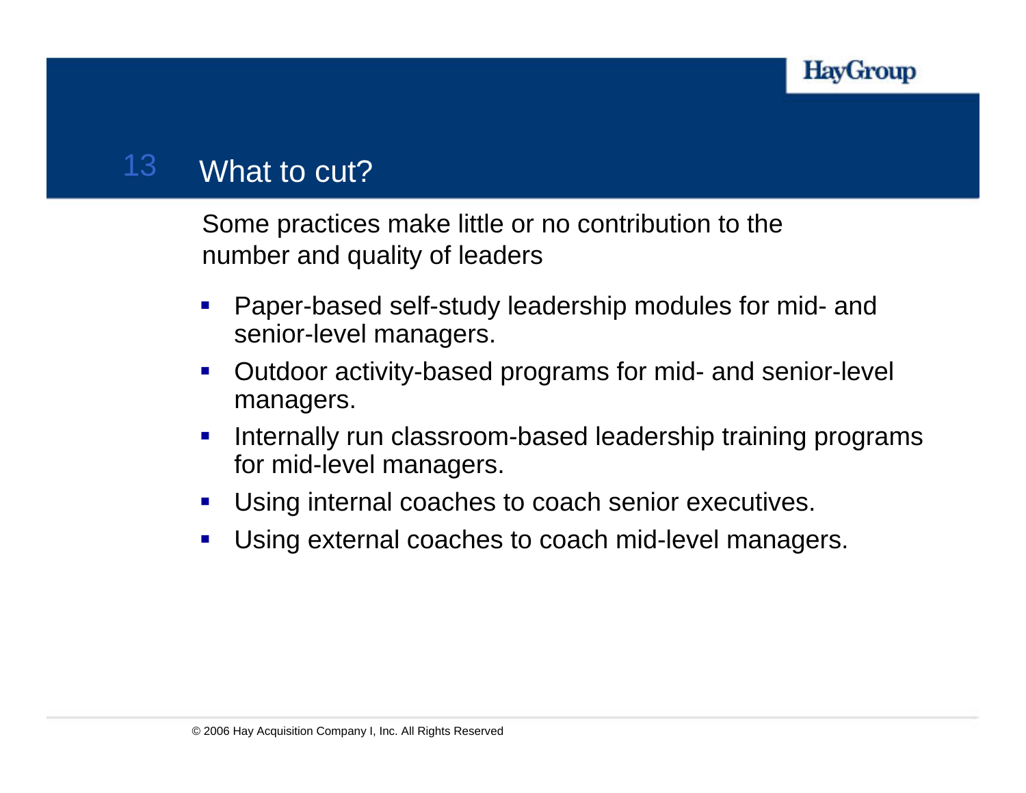

### 13What to cut?

Some practices make little or no contribution to the number and quality of leaders

- $\mathcal{L}_{\mathcal{A}}$  Paper-based self-study leadership modules for mid- and senior-level managers.
- $\mathcal{L}_{\mathcal{A}}$  Outdoor activity-based programs for mid- and senior-level managers.
- $\mathcal{L}_{\mathcal{A}}$  Internally run classroom-based leadership training programs for mid-level managers.
- $\mathcal{L}_{\mathcal{A}}$ Using internal coaches to coach senior executives.
- $\mathbf{r}$ Using external coaches to coach mid-level managers.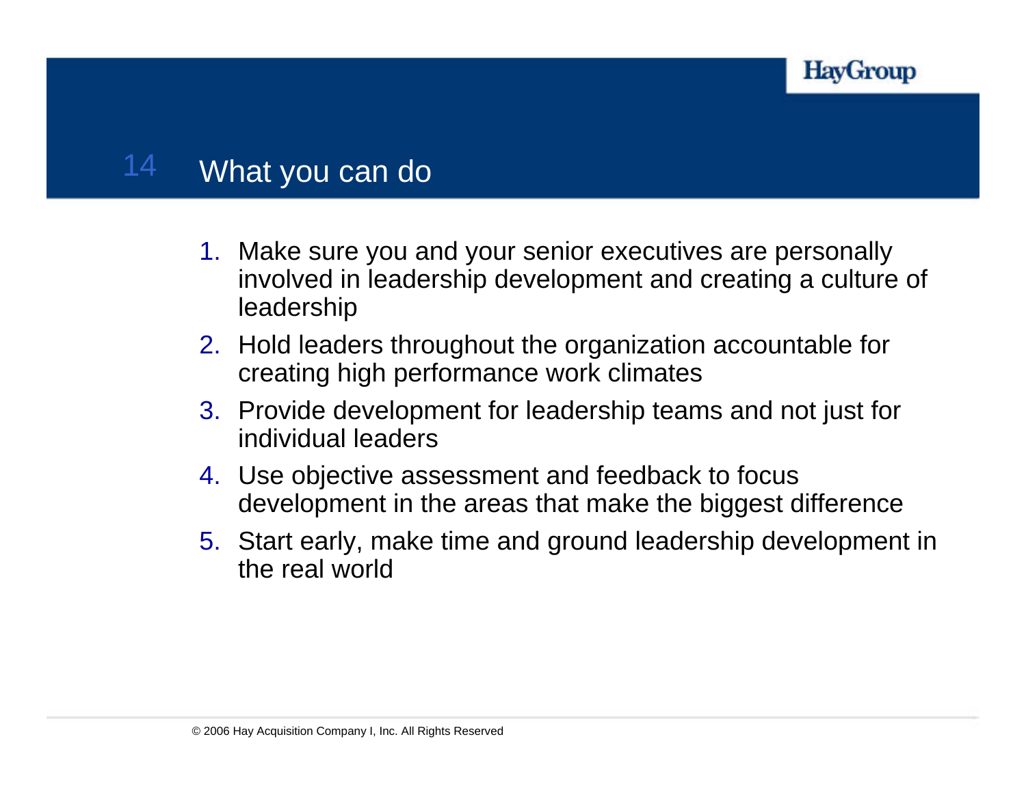

### 14What you can do

- 1. Make sure you and your senior executives are personally inv olved in leadership development and creating a culture of leadership
- 2. Hold leaders throughout the organization accountable for creating high performance work climates
- 3. Provide development for leadership teams and not just for individual leaders
- 4. Use objective assessment and feedback to focus development in the areas that make the biggest difference
- 5. Start early, make time and ground leadership development in the real world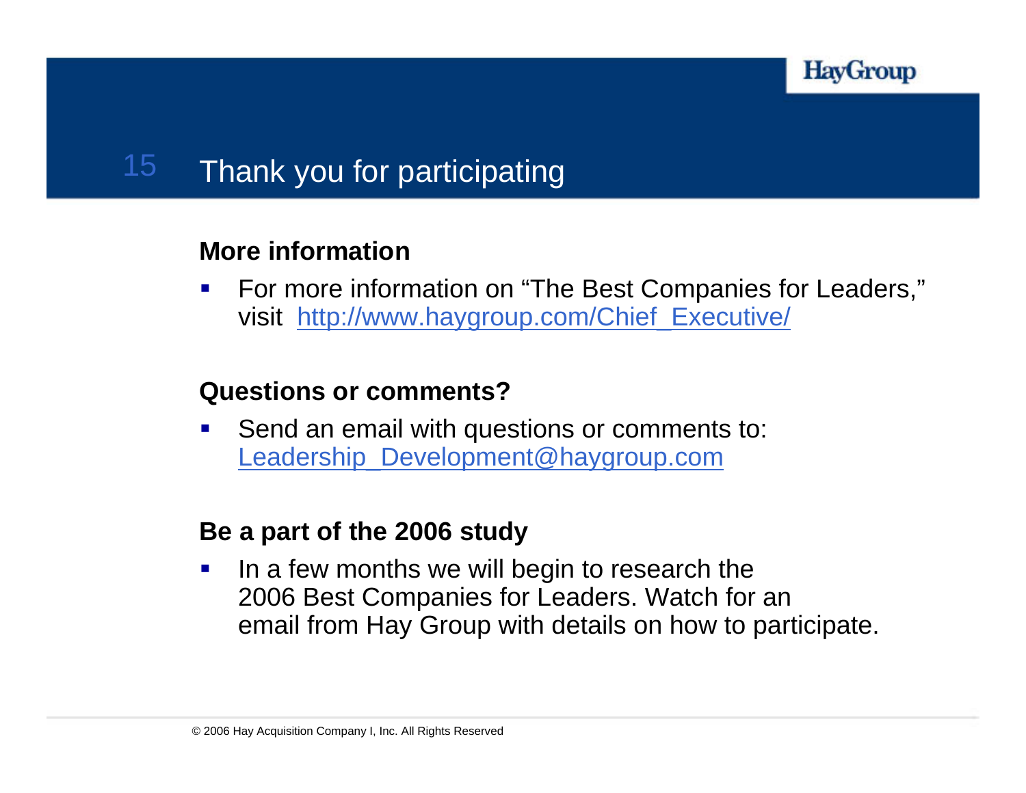

### 15Thank you for participating

### **More information**

 $\mathcal{L}_{\mathcal{A}}$  For more information on "The Best Companies for Leaders," visit [http://www.haygroup.com/Chief\\_Executive/](http://www.haygroup.com/Chief_Executive/)

### **Questions or comments?**

 $\mathcal{L}_{\mathcal{A}}$  Send an email with questions or comments to: [Leadership\\_Development@haygroup.com](mailto:Leadership_Development@haygroup.com)

### **Be a part of the 2006 study**

 $\mathcal{L}_{\mathcal{A}}$  In a few months we will begin to research the 2006 Best Companies for Leaders. Watch for an email from Hay Group with details on how to participate.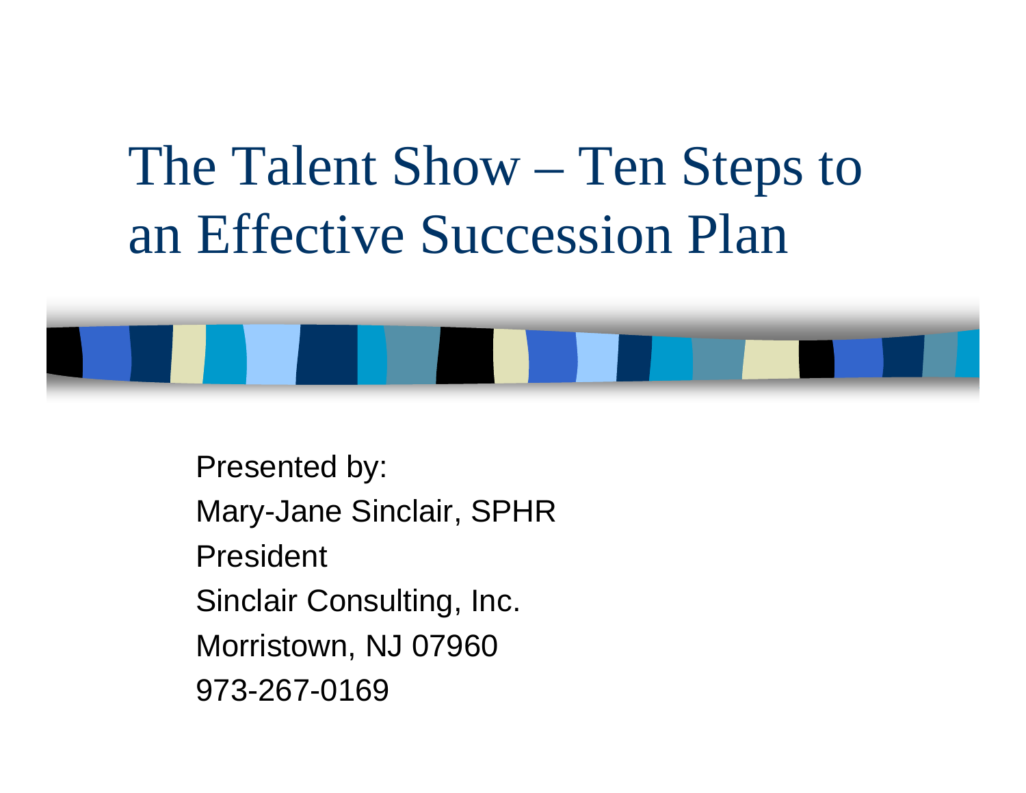## The Talent Show – Ten Steps to an Effective Succession Plan



Presented by: Mary-Jane Sinclair, SPHR President Sinclair Consulting, Inc. Morristown, NJ 07960 973-267-0169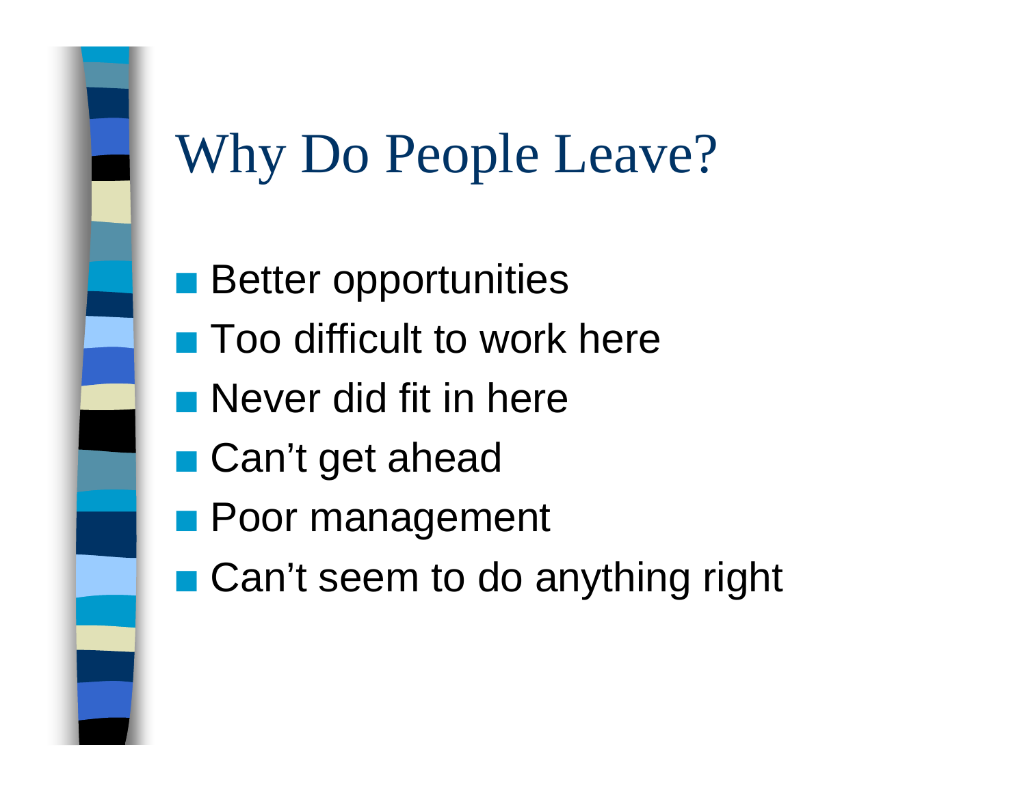## Why Do People Leave?

- $\mathcal{L}_{\mathcal{A}}$ Better opportunities
- **Too difficult to work here**
- **Never did fit in here**
- Can't get ahead
- **Poor management**
- Can't seem to do anything right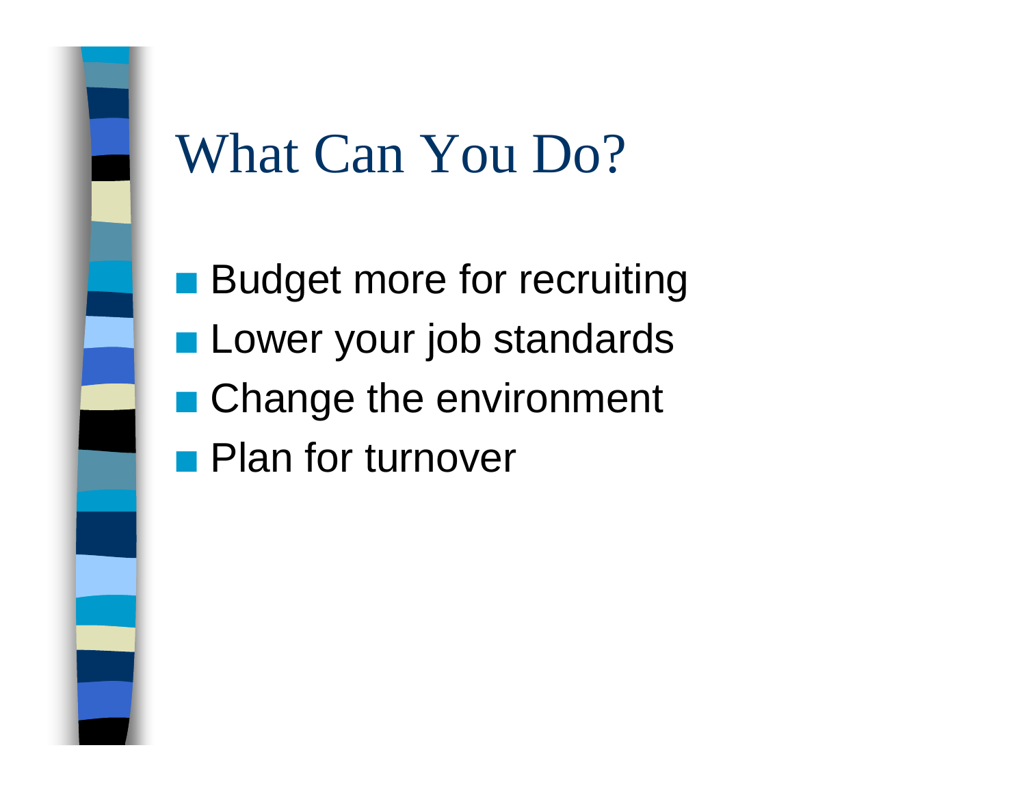## What Can You Do?

**Budget more for recruiting Lower your job standards** 

- **Change the environment**
- **Plan for turnover**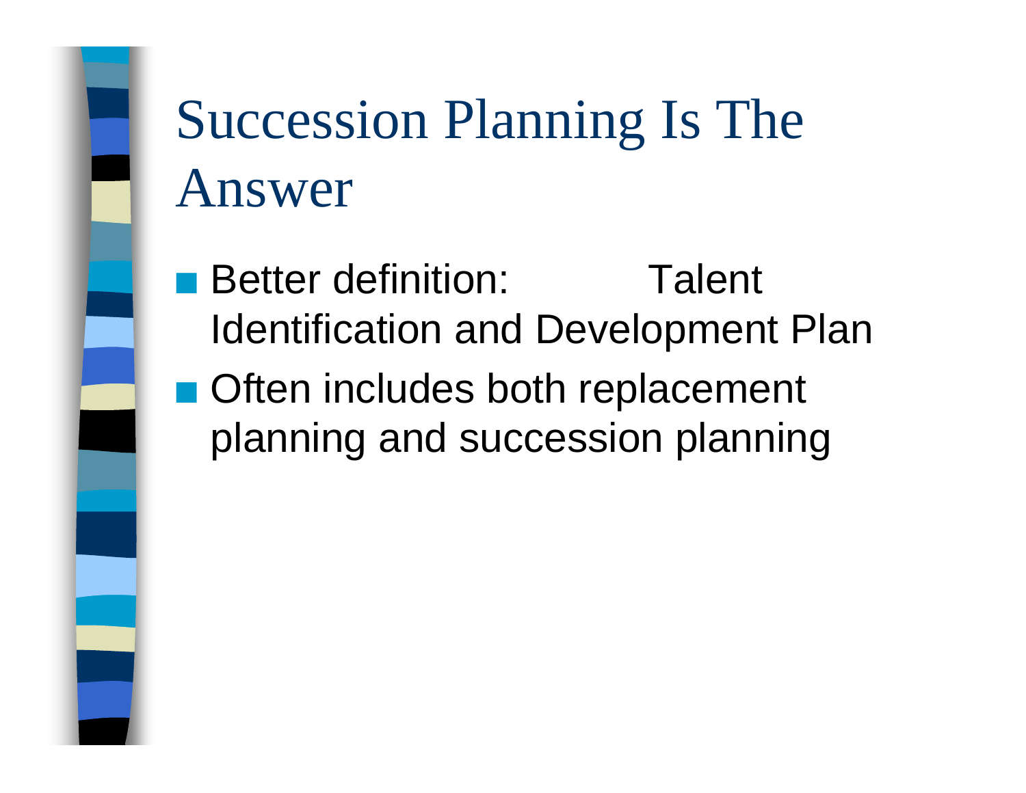# Succession Planning Is The Answer

- Better definition: Talent Identification and Development Plan
- Often includes both replacement planning and succession planning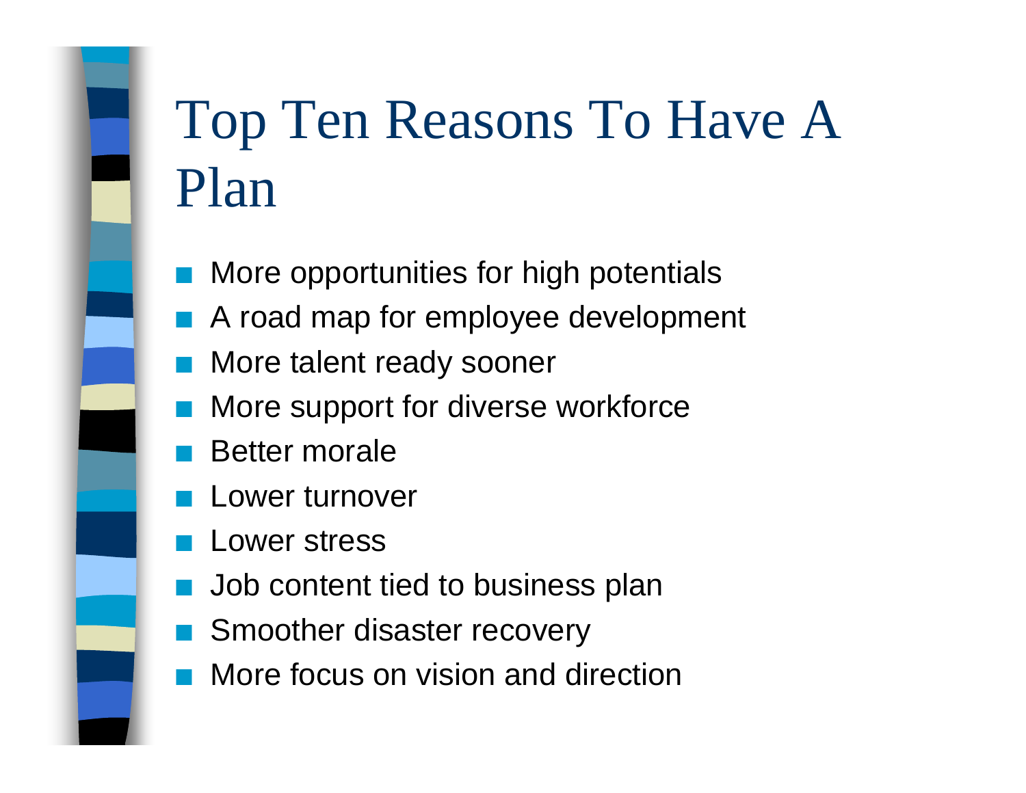# Top Ten Reasons To Have A Plan

- QMore opportunities for high potentials
- QA road map for employee development
- QMore talent ready sooner
- QMore support for diverse workforce
- QBetter morale
- QLower turnover
- QLower stress
- QJob content tied to business plan
- QSmoother disaster recovery
- QMore focus on vision and direction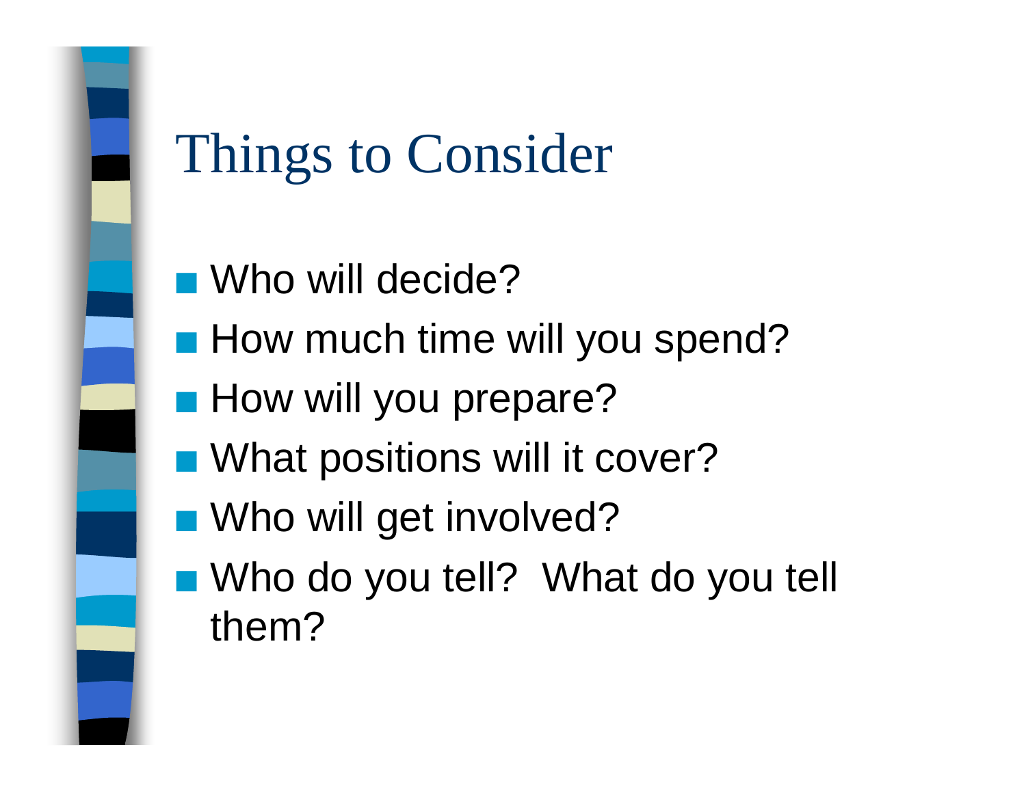# Things to Consider

- Who will decide?
- **How much time will you spend?**
- **How will you prepare?**
- What positions will it cover?
- **N** Who will get involved?
- Who do you tell? What do you tell them?

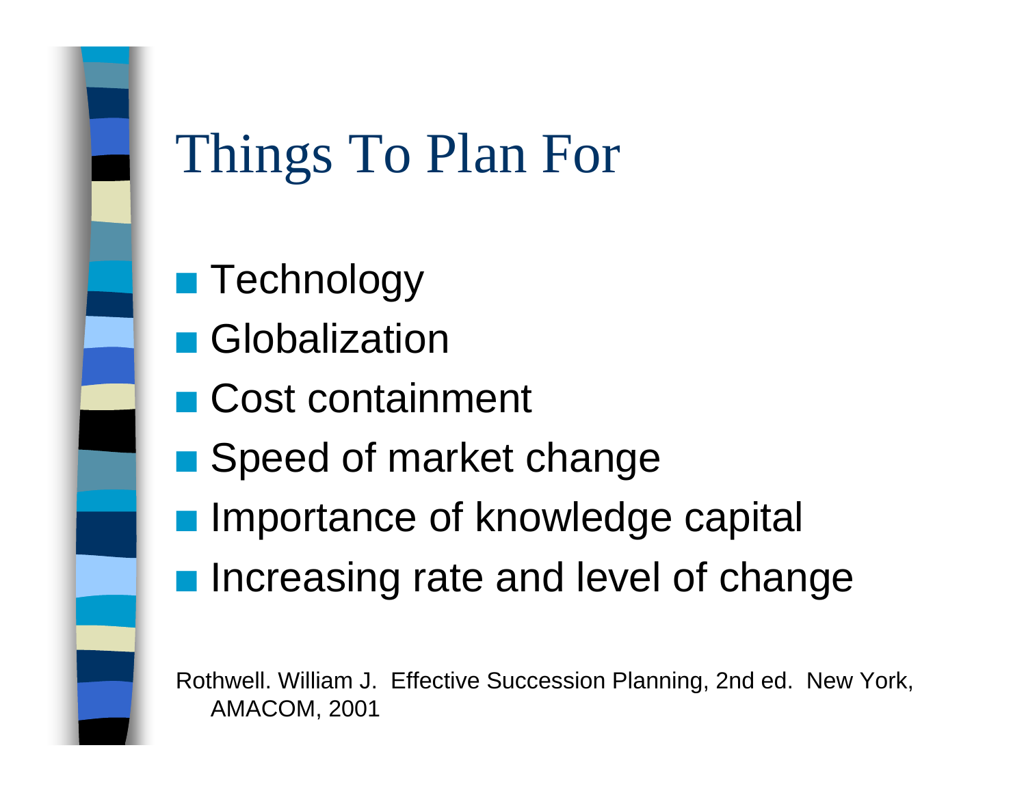## Things To Plan For

- $\blacksquare$  Technology
- Globalization
- Cost containment
- **B** Speed of market change
- **Importance of knowledge capital**
- Increasing rate and level of change

Rothwell. William J. Effective Succession Planning, 2nd ed. New York, AMACOM, 2001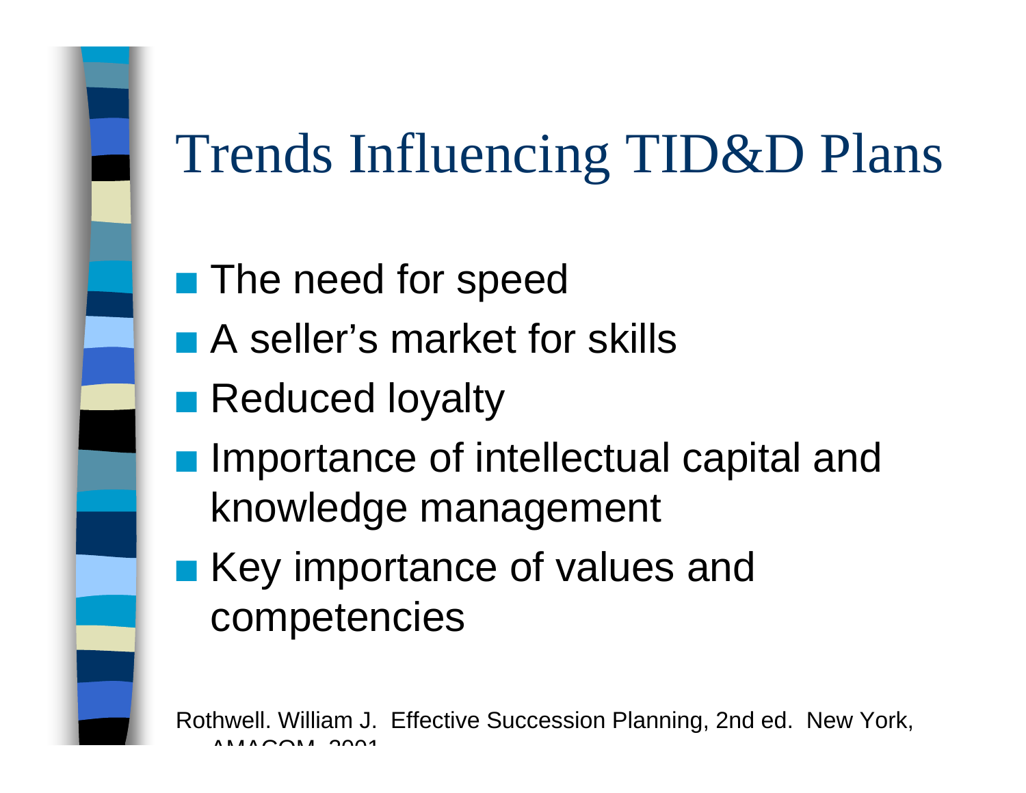# Trends Influencing TID&D Plans

- $\overline{\mathcal{L}}$ The need for speed
- A seller's market for skills
- **Reduced loyalty**
- **Importance of intellectual capital and** knowledge management
- Key importance of values and competencies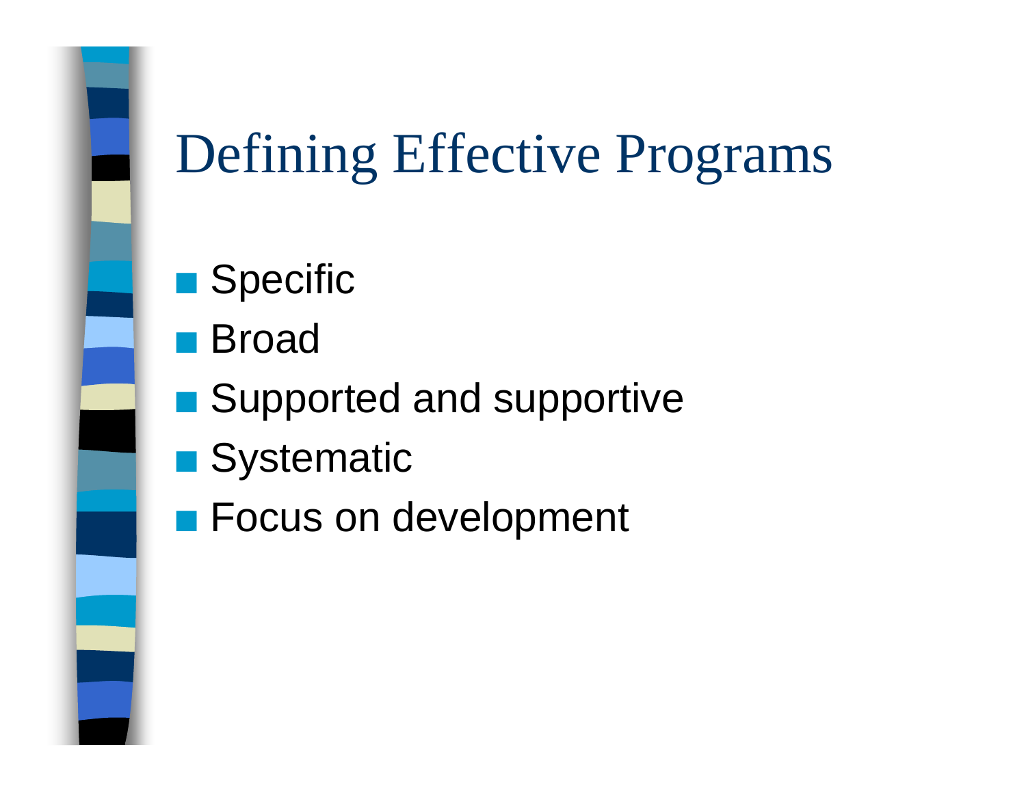## Defining Effective Programs

- $\blacksquare$  Specific
- Broad
- Supported and supportive
- Systematic
- **Exercise Focus on development**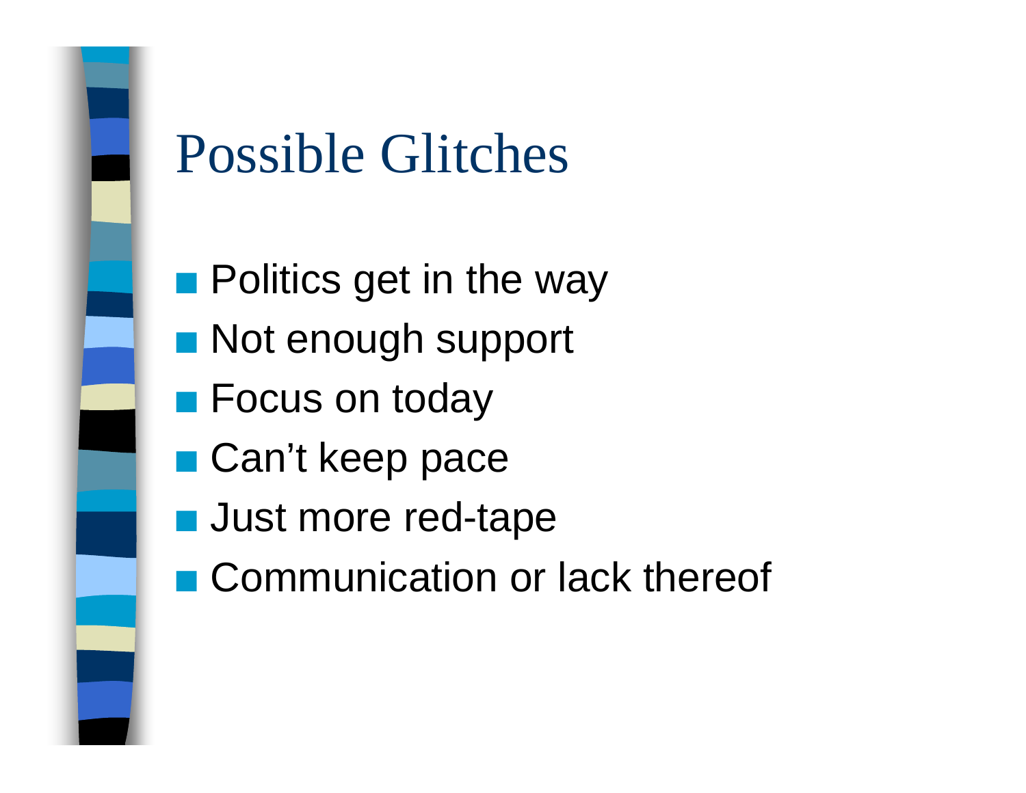

## Possible Glitches

- $\blacksquare$  Politics get in the way
- **Not enough support**
- Focus on today
- Can't keep pace
- **Q Just more red-tape**
- Communication or lack thereof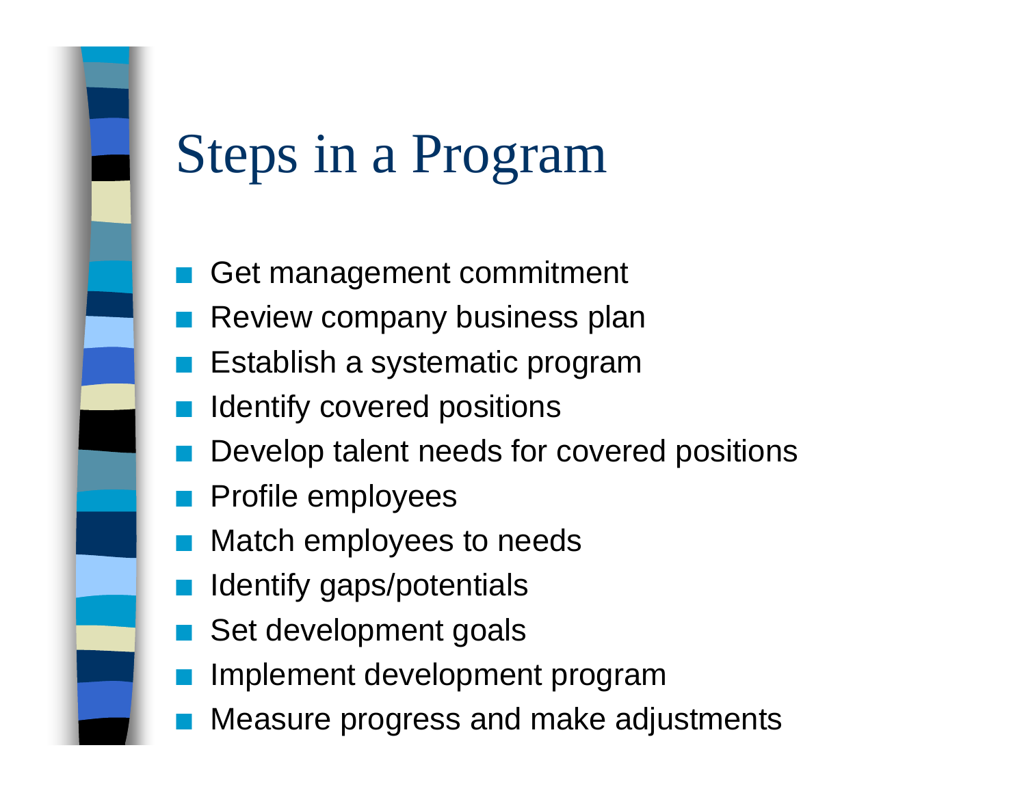## Steps in a Program

- QGet management commitment
- QReview company business plan
- QEstablish a systematic program
- QIdentify covered positions
- QDevelop talent needs for covered positions
- QProfile employees
- QMatch employees to needs
- QIdentify gaps/potentials
- QSet development goals
- QImplement development program
- QMeasure progress and make adjustments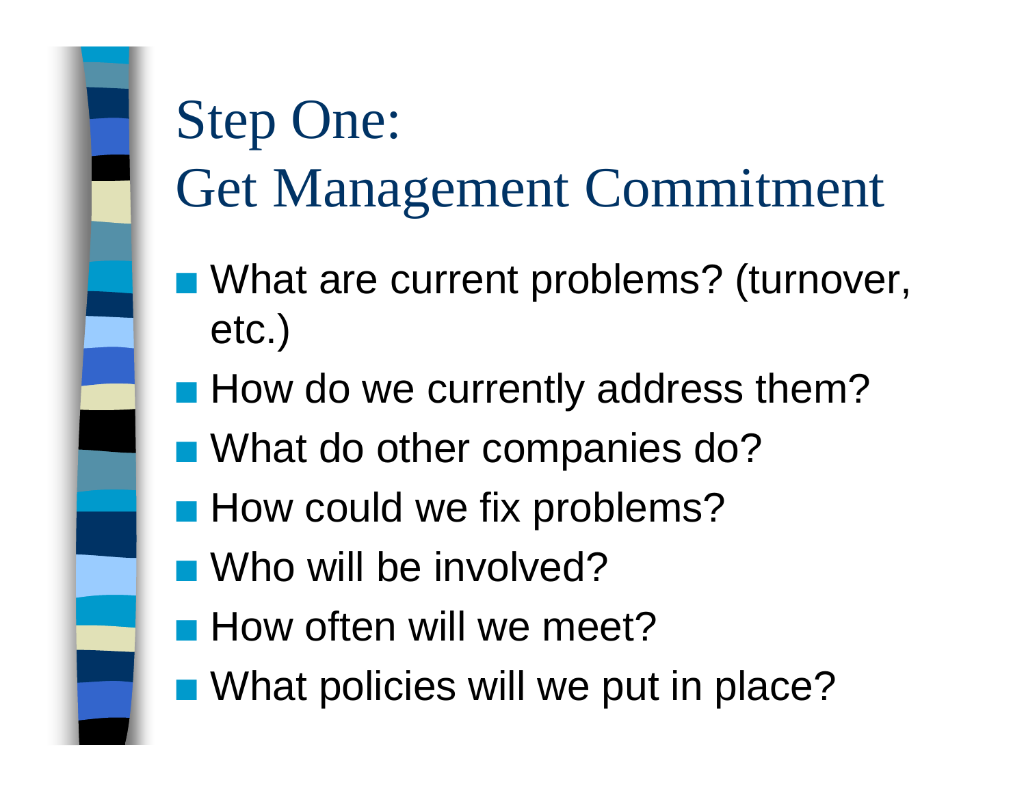# Step One: Get Management Commitment

- What are current problems? (turnover, etc.)
- **How do we currently address them?**
- What do other companies do?
- **How could we fix problems?**
- **N** Who will be involved?
- **How often will we meet?**
- What policies will we put in place?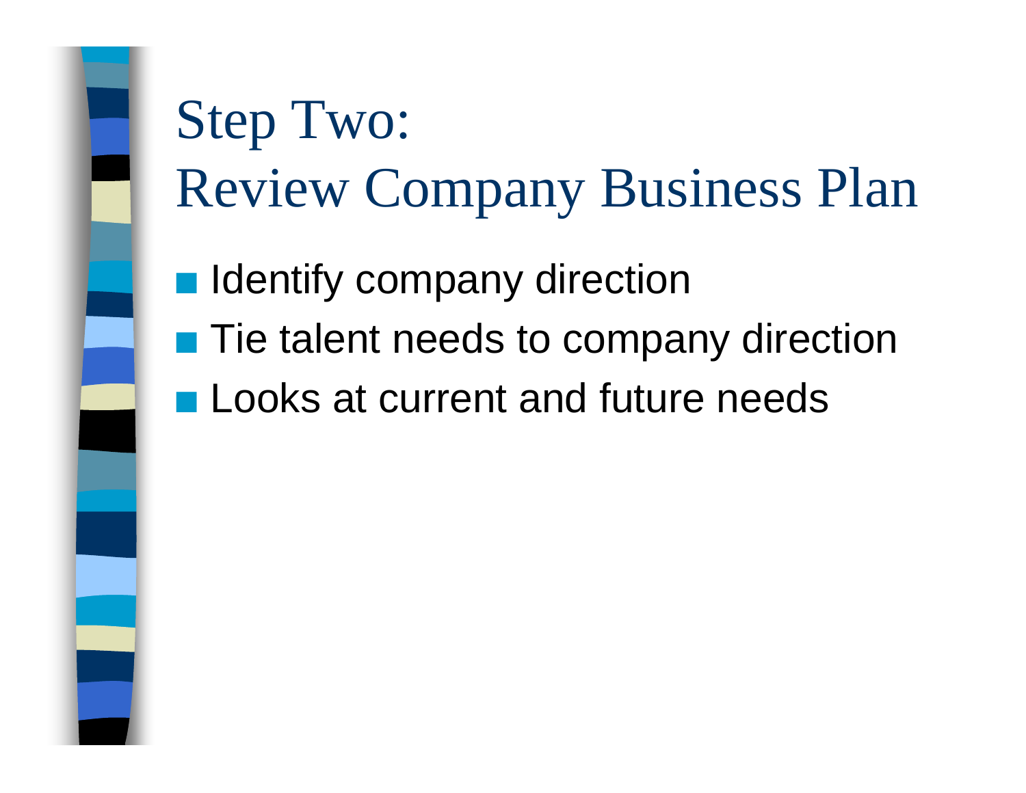

# Step Two: Review Company Business Plan

 $\mathcal{L}_{\mathcal{A}}$ Identify company direction

- $\blacksquare$  Tie talent needs to company direction
- **Looks at current and future needs**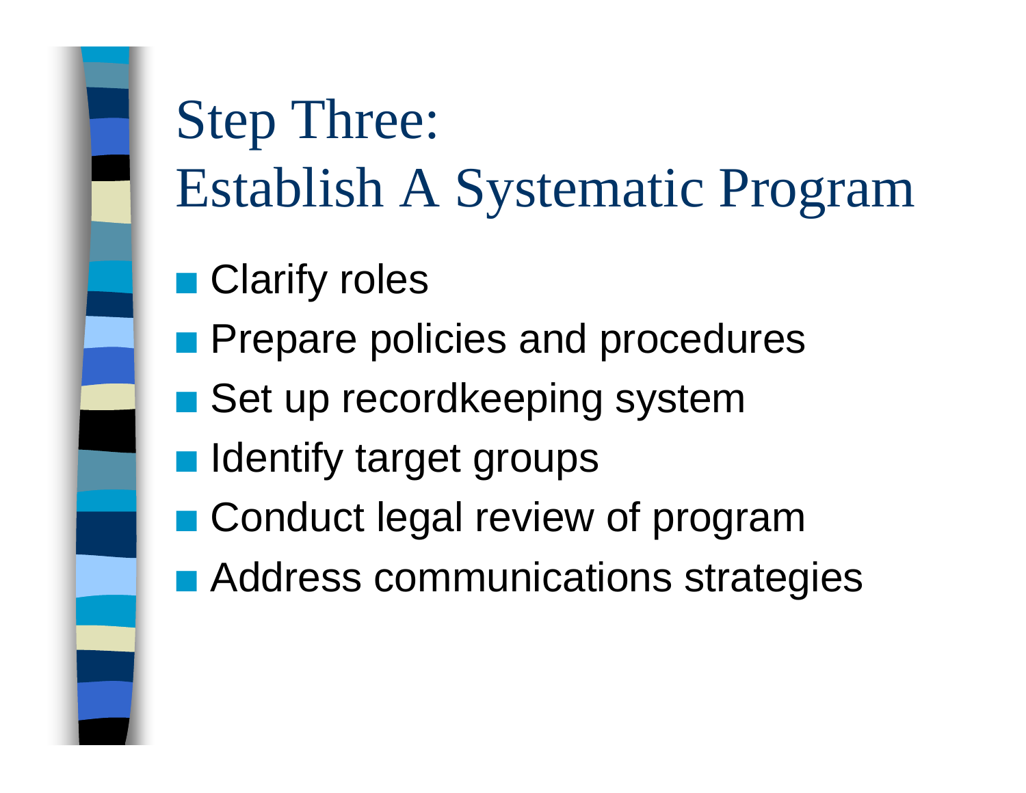# Step Three: Establish A Systematic Program

- **Clarify roles**
- QPrepare policies and procedures
- Set up recordkeeping system
- **n** Identify target groups
- **Conduct legal review of program**
- Address communications strategies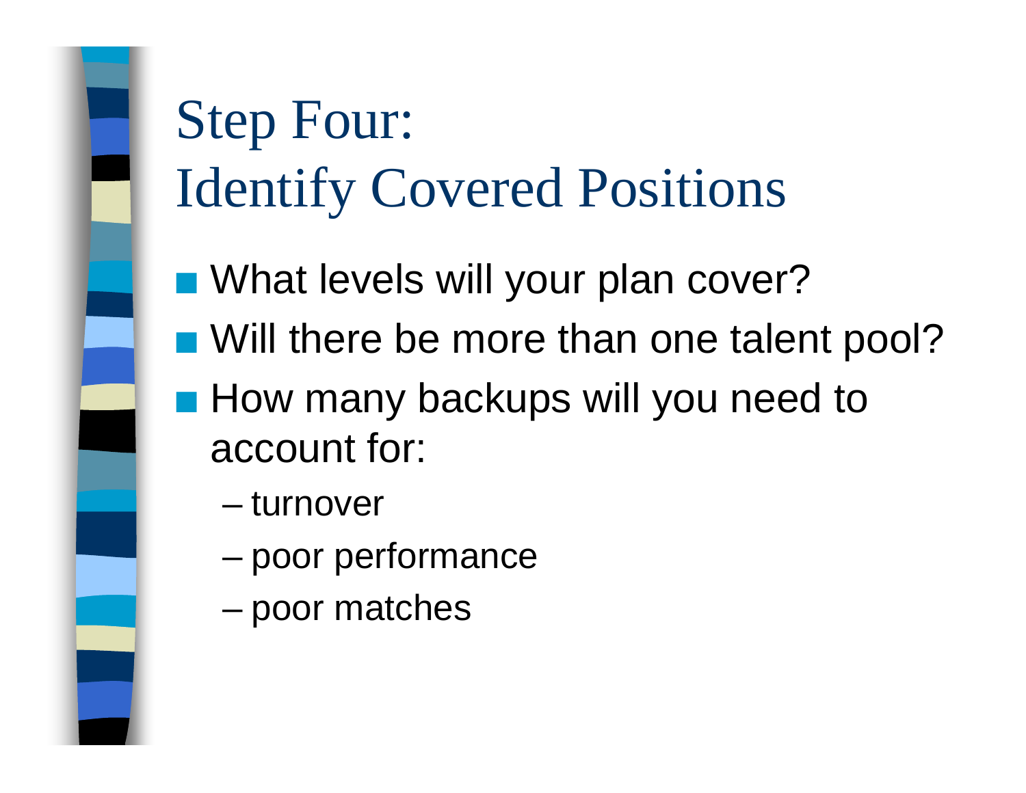# Step Four: Identify Covered Positions

- What levels will your plan cover?
- Will there be more than one talent pool?

■ How many backups will you need to account for:

- turnover
- –poor performance
- –poor matches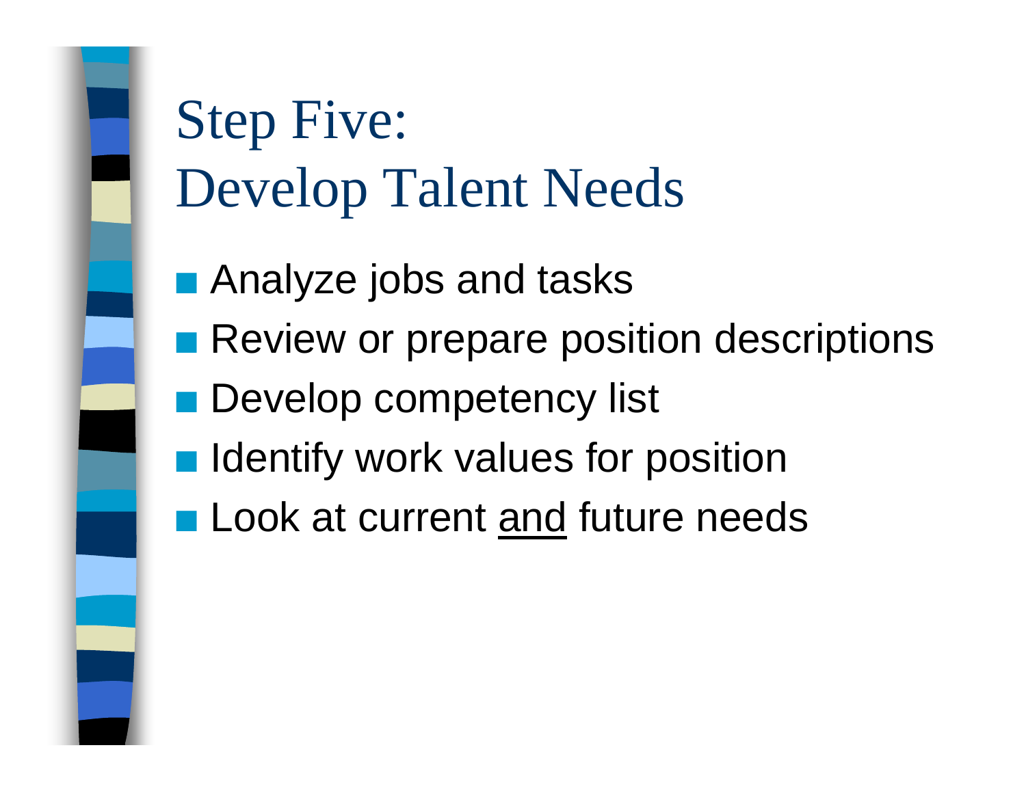Step Five: Develop Talent Needs

- $\mathcal{L}_{\mathcal{A}}$ Analyze jobs and tasks
- **Review or prepare position descriptions**
- **Develop competency list**
- **O Identify work values for position**
- **Look at current and future needs**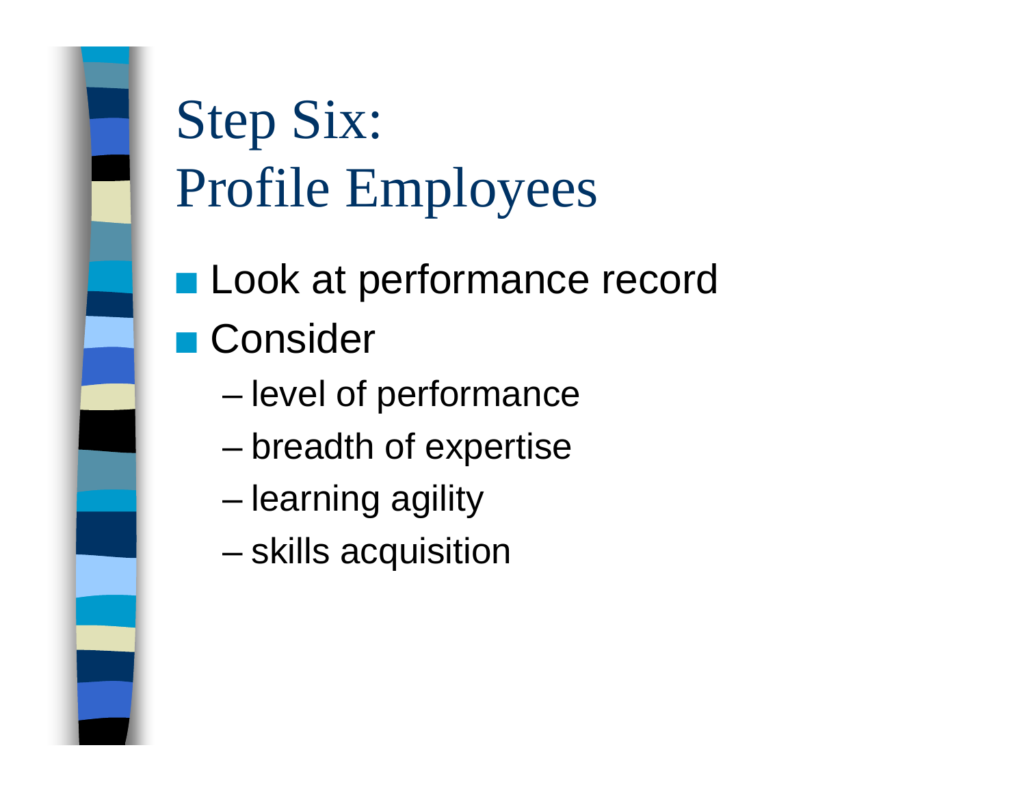

# Step Six: Profile Employees

- **Look at performance record** ■ Consider
	- –level of performance
	- –breadth of expertise
	- –learning agility
	- –skills acquisition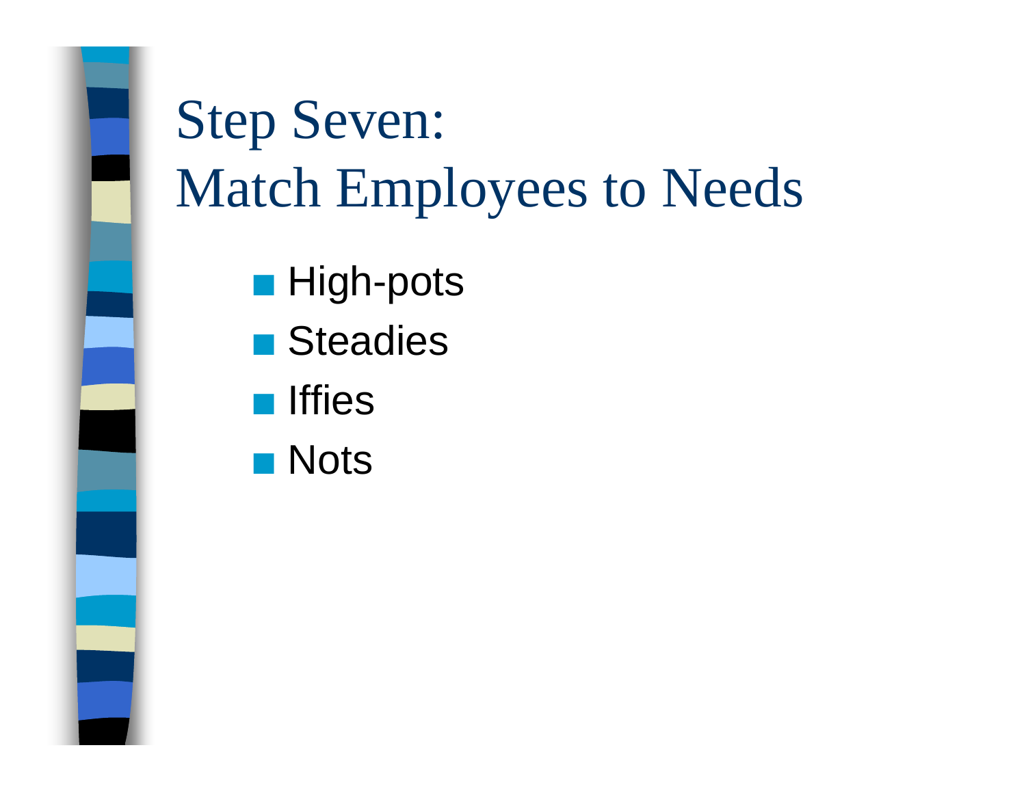# Step Seven: Match Employees to Needs

- $\blacksquare$  High-pots
- Steadies
- **Iffies**
- $\blacksquare$  Nots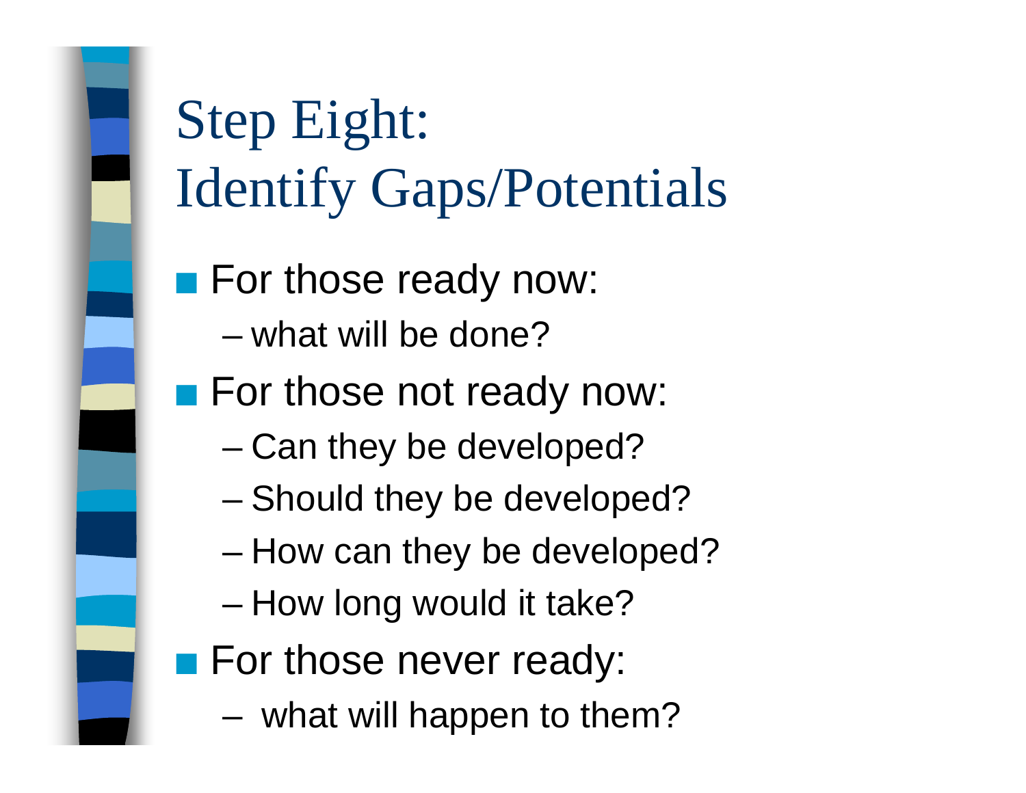

Step Eight: Identify Gaps/Potentials

**For those ready now:** 

- what will be done?
- **For those not ready now:** 
	- –Can they be developed?
	- –Should they be developed?
	- –How can they be developed?
	- –How long would it take?
- **For those never ready:** 
	- –what will happen to them?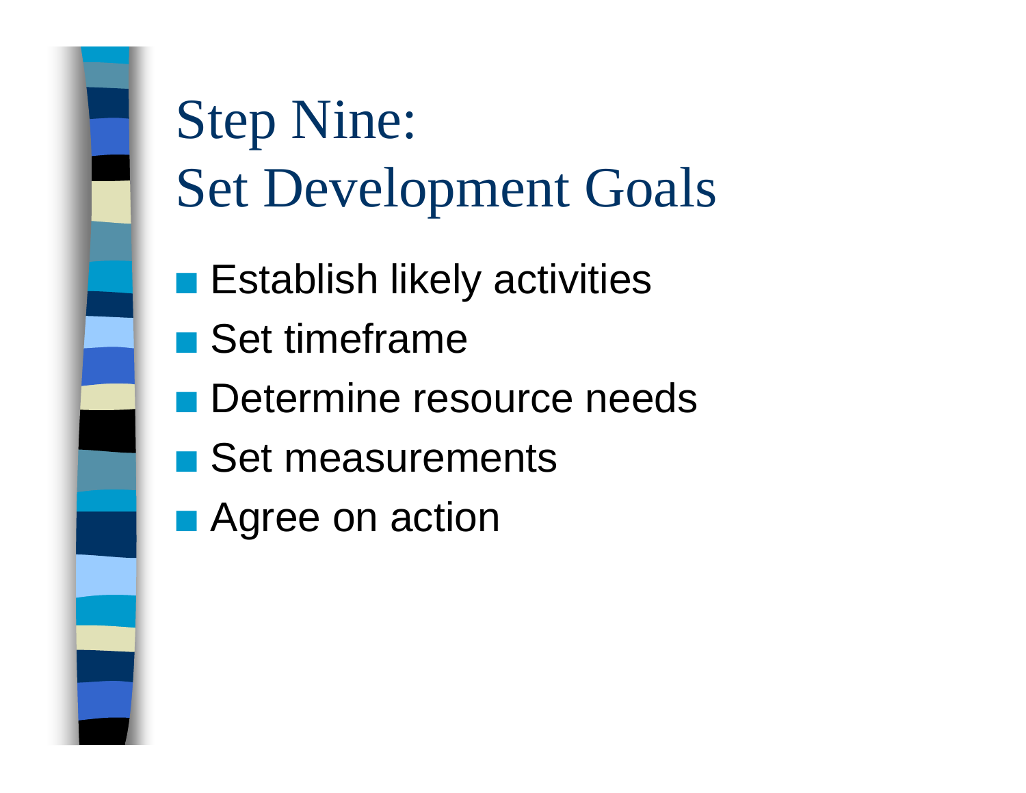

# Step Nine: Set Development Goals

- $\blacksquare$  Establish likely activities
- Set timeframe
- **Determine resource needs**
- Set measurements
- $\blacksquare$  Agree on action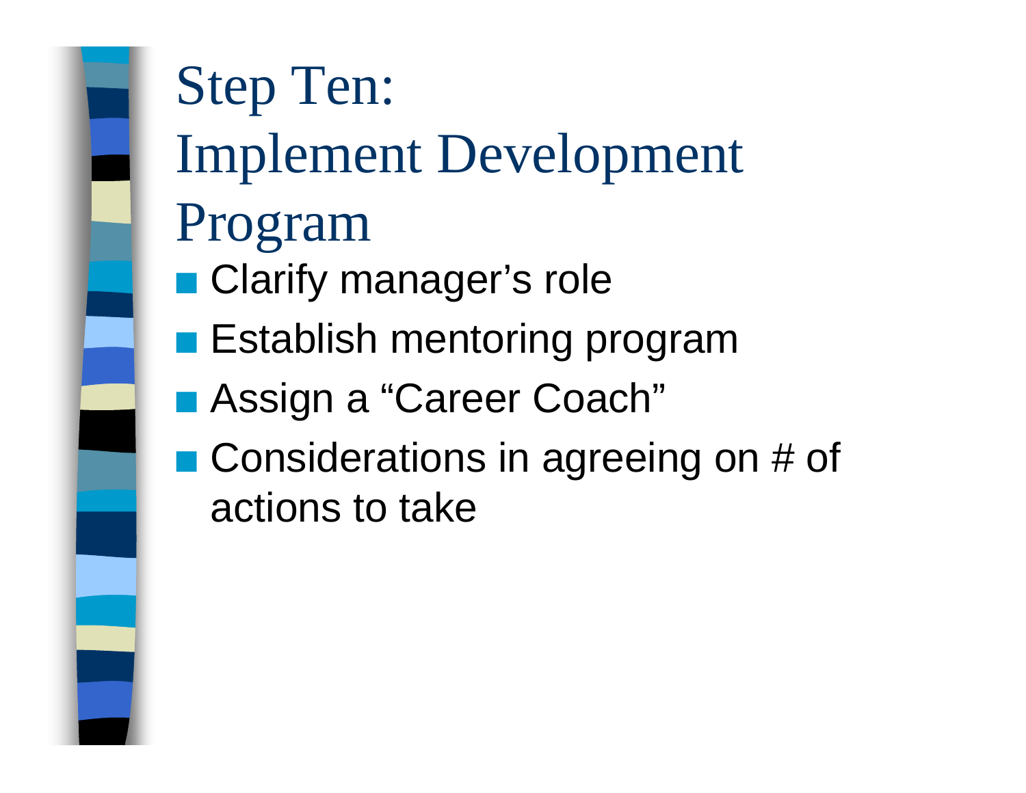

# Step Ten: Implement Development Program ■ Clarify manager's role  $\blacksquare$  Establish mentoring program ■ Assign a "Career Coach"  $\blacksquare$  Considerations in agreeing on # of actions to take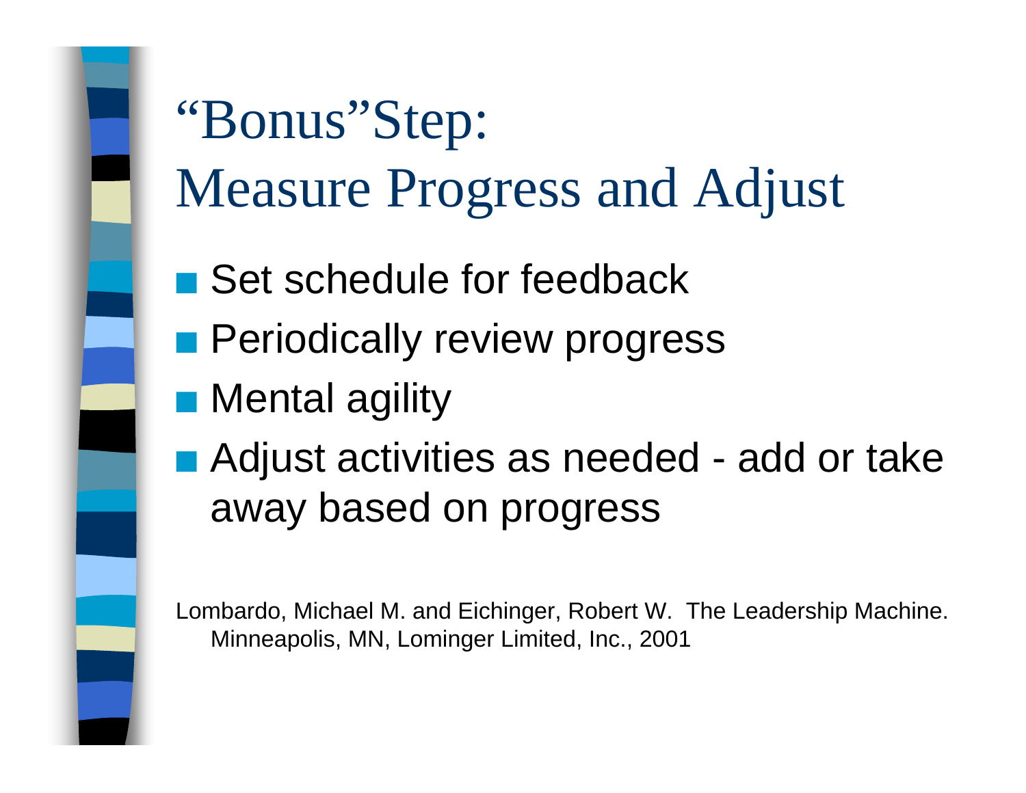"Bonus"Step: Measure Progress and Adjust

- Set schedule for feedback
- **R** Periodically review progress
- $\blacksquare$  Mental agility
- Adjust activities as needed add or take away based on progress

Lombardo, Michael M. and Eichinger, Robert W. The Leadership Machine. Minneapolis, MN, Lominger Limited, Inc., 2001